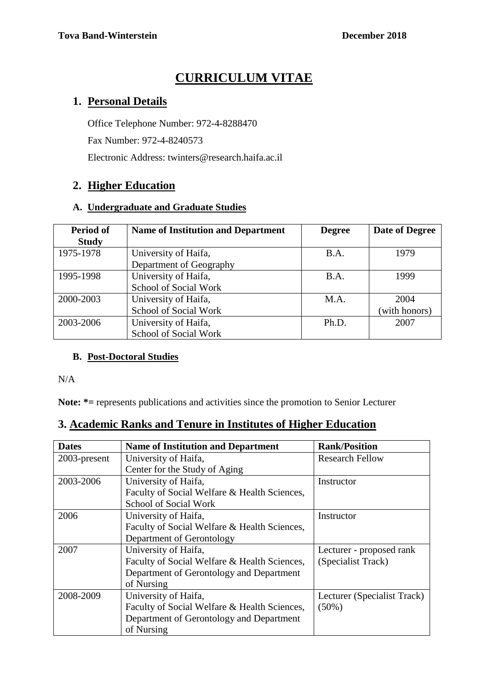# **CURRICULUM VITAE**

### **1. Personal Details**

Office Telephone Number: 972-4-8288470 Fax Number: 972-4-8240573

Electronic Address: twinters@research.haifa.ac.il

### **2. Higher Education**

#### **A. Undergraduate and Graduate Studies**

| Period of    | <b>Name of Institution and Department</b> | <b>Degree</b> | Date of Degree |
|--------------|-------------------------------------------|---------------|----------------|
| <b>Study</b> |                                           |               |                |
| 1975-1978    | University of Haifa,                      | <b>B.A.</b>   | 1979           |
|              | Department of Geography                   |               |                |
| 1995-1998    | University of Haifa,                      | <b>B.A.</b>   | 1999           |
|              | School of Social Work                     |               |                |
| 2000-2003    | University of Haifa,                      | M.A.          | 2004           |
|              | School of Social Work                     |               | (with honors)  |
| 2003-2006    | University of Haifa,                      | Ph.D.         | 2007           |
|              | School of Social Work                     |               |                |

### **B. Post-Doctoral Studies**

N/A

**Note: \*=** represents publications and activities since the promotion to Senior Lecturer

### **3. Academic Ranks and Tenure in Institutes of Higher Education**

| <b>Dates</b> | <b>Name of Institution and Department</b>    | <b>Rank/Position</b>        |
|--------------|----------------------------------------------|-----------------------------|
| 2003-present | University of Haifa,                         | <b>Research Fellow</b>      |
|              | Center for the Study of Aging                |                             |
| 2003-2006    | University of Haifa,                         | Instructor                  |
|              | Faculty of Social Welfare & Health Sciences, |                             |
|              | <b>School of Social Work</b>                 |                             |
| 2006         | University of Haifa,                         | Instructor                  |
|              | Faculty of Social Welfare & Health Sciences, |                             |
|              | Department of Gerontology                    |                             |
| 2007         | University of Haifa,                         | Lecturer - proposed rank    |
|              | Faculty of Social Welfare & Health Sciences, | (Specialist Track)          |
|              | Department of Gerontology and Department     |                             |
|              | of Nursing                                   |                             |
| 2008-2009    | University of Haifa,                         | Lecturer (Specialist Track) |
|              | Faculty of Social Welfare & Health Sciences, | $(50\%)$                    |
|              | Department of Gerontology and Department     |                             |
|              | of Nursing                                   |                             |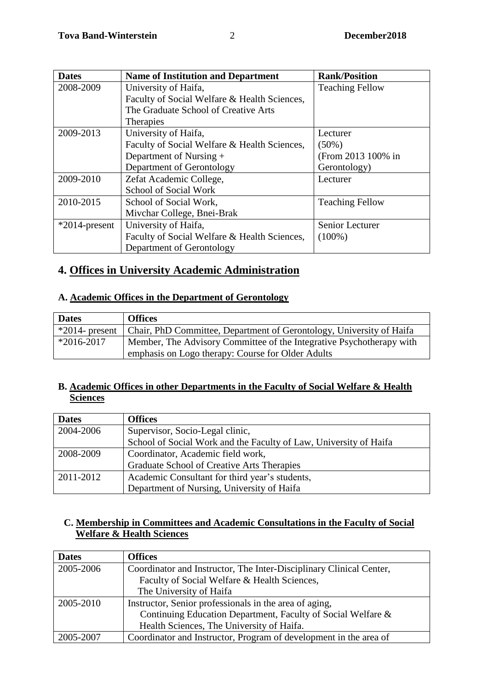| <b>Dates</b>     | <b>Name of Institution and Department</b>    | <b>Rank/Position</b>   |
|------------------|----------------------------------------------|------------------------|
| 2008-2009        | University of Haifa,                         | <b>Teaching Fellow</b> |
|                  | Faculty of Social Welfare & Health Sciences, |                        |
|                  | The Graduate School of Creative Arts         |                        |
|                  | <b>Therapies</b>                             |                        |
| 2009-2013        | University of Haifa,                         | Lecturer               |
|                  | Faculty of Social Welfare & Health Sciences, | $(50\%)$               |
|                  | Department of Nursing +                      | (From 2013 100% in     |
|                  | Department of Gerontology                    | Gerontology)           |
| 2009-2010        | Zefat Academic College,                      | Lecturer               |
|                  | School of Social Work                        |                        |
| 2010-2015        | School of Social Work,                       | <b>Teaching Fellow</b> |
|                  | Mivchar College, Bnei-Brak                   |                        |
| $*2014$ -present | University of Haifa,                         | Senior Lecturer        |
|                  | Faculty of Social Welfare & Health Sciences, | $(100\%)$              |
|                  | Department of Gerontology                    |                        |

# **4. Offices in University Academic Administration**

#### **A. Academic Offices in the Department of Gerontology**

| <b>Dates</b>   | <b>Offices</b>                                                                        |
|----------------|---------------------------------------------------------------------------------------|
|                | *2014- present   Chair, PhD Committee, Department of Gerontology, University of Haifa |
| $*2016 - 2017$ | Member, The Advisory Committee of the Integrative Psychotherapy with                  |
|                | emphasis on Logo therapy: Course for Older Adults                                     |

### **B. Academic Offices in other Departments in the Faculty of Social Welfare & Health Sciences**

| <b>Dates</b> | <b>Offices</b>                                                    |
|--------------|-------------------------------------------------------------------|
| 2004-2006    | Supervisor, Socio-Legal clinic,                                   |
|              | School of Social Work and the Faculty of Law, University of Haifa |
| 2008-2009    | Coordinator, Academic field work,                                 |
|              | Graduate School of Creative Arts Therapies                        |
| 2011-2012    | Academic Consultant for third year's students,                    |
|              | Department of Nursing, University of Haifa                        |

#### **C. Membership in Committees and Academic Consultations in the Faculty of Social Welfare & Health Sciences**

| <b>Dates</b> | <b>Offices</b>                                                      |
|--------------|---------------------------------------------------------------------|
| 2005-2006    | Coordinator and Instructor, The Inter-Disciplinary Clinical Center, |
|              | Faculty of Social Welfare & Health Sciences,                        |
|              | The University of Haifa                                             |
| 2005-2010    | Instructor, Senior professionals in the area of aging,              |
|              | Continuing Education Department, Faculty of Social Welfare &        |
|              | Health Sciences, The University of Haifa.                           |
| 2005-2007    | Coordinator and Instructor, Program of development in the area of   |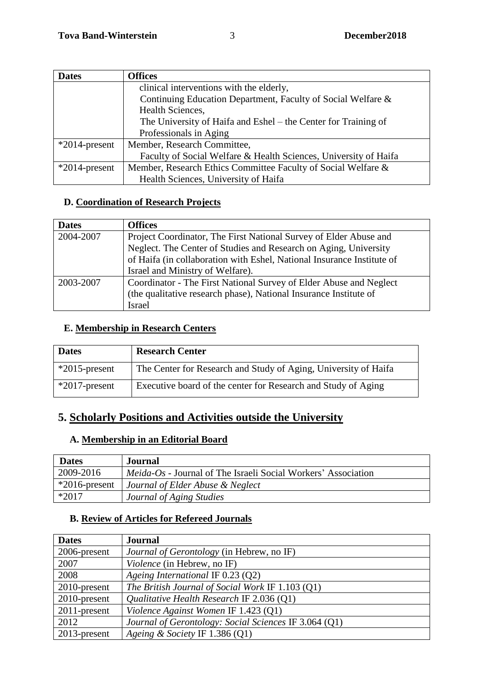| <b>Dates</b>     | <b>Offices</b>                                                   |  |
|------------------|------------------------------------------------------------------|--|
|                  | clinical interventions with the elderly,                         |  |
|                  | Continuing Education Department, Faculty of Social Welfare &     |  |
|                  | Health Sciences,                                                 |  |
|                  | The University of Haifa and Eshel – the Center for Training of   |  |
|                  | Professionals in Aging                                           |  |
| $*2014$ -present | Member, Research Committee,                                      |  |
|                  | Faculty of Social Welfare & Health Sciences, University of Haifa |  |
| $*2014$ -present | Member, Research Ethics Committee Faculty of Social Welfare &    |  |
|                  | Health Sciences, University of Haifa                             |  |

### **D. Coordination of Research Projects**

| <b>Dates</b> | <b>Offices</b>                                                         |
|--------------|------------------------------------------------------------------------|
| 2004-2007    | Project Coordinator, The First National Survey of Elder Abuse and      |
|              | Neglect. The Center of Studies and Research on Aging, University       |
|              | of Haifa (in collaboration with Eshel, National Insurance Institute of |
|              | Israel and Ministry of Welfare).                                       |
| 2003-2007    | Coordinator - The First National Survey of Elder Abuse and Neglect     |
|              | (the qualitative research phase), National Insurance Institute of      |
|              | <b>Israel</b>                                                          |

### **E. Membership in Research Centers**

| <b>Dates</b>     | <b>Research Center</b>                                          |
|------------------|-----------------------------------------------------------------|
| $*2015$ -present | The Center for Research and Study of Aging, University of Haifa |
| $*2017$ -present | Executive board of the center for Research and Study of Aging   |

# **5. Scholarly Positions and Activities outside the University**

### **A. Membership in an Editorial Board**

| <b>Dates</b>     | <b>Journal</b>                                                       |
|------------------|----------------------------------------------------------------------|
| 2009-2016        | <i>Meida-Os</i> - Journal of The Israeli Social Workers' Association |
| $*2016$ -present | Journal of Elder Abuse & Neglect                                     |
| $*2017$          | Journal of Aging Studies                                             |

### **B. Review of Articles for Refereed Journals**

| <b>Dates</b>    | <b>Journal</b>                                        |
|-----------------|-------------------------------------------------------|
| 2006-present    | <i>Journal of Gerontology</i> (in Hebrew, no IF)      |
| 2007            | <i>Violence</i> (in Hebrew, no IF)                    |
| 2008            | Ageing International IF $0.23$ (Q2)                   |
| 2010-present    | The British Journal of Social Work IF 1.103 (Q1)      |
| $2010$ -present | Qualitative Health Research IF 2.036 (Q1)             |
| $2011$ -present | Violence Against Women IF 1.423 (Q1)                  |
| 2012            | Journal of Gerontology: Social Sciences IF 3.064 (O1) |
| $2013$ -present | Ageing & Society IF $1.386$ (Q1)                      |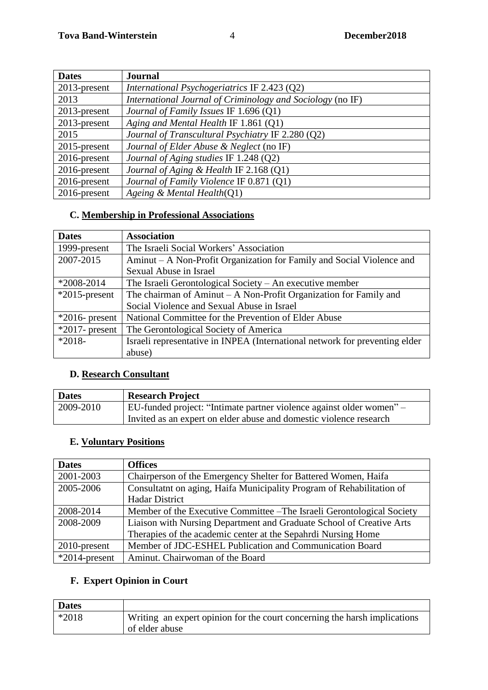| <b>Dates</b>    | <b>Journal</b>                                             |
|-----------------|------------------------------------------------------------|
| 2013-present    | International Psychogeriatrics IF 2.423 (Q2)               |
| 2013            | International Journal of Criminology and Sociology (no IF) |
| 2013-present    | Journal of Family Issues IF 1.696 (Q1)                     |
| $2013$ -present | Aging and Mental Health IF 1.861 (Q1)                      |
| 2015            | Journal of Transcultural Psychiatry IF 2.280 (Q2)          |
| $2015$ -present | Journal of Elder Abuse & Neglect (no IF)                   |
| $2016$ -present | Journal of Aging studies IF 1.248 (Q2)                     |
| 2016-present    | Journal of Aging & Health IF 2.168 (Q1)                    |
| $2016$ -present | Journal of Family Violence IF 0.871 (Q1)                   |
| $2016$ -present | Ageing & Mental Health $(Q1)$                              |

# **C. Membership in Professional Associations**

| <b>Dates</b>      | <b>Association</b>                                                          |
|-------------------|-----------------------------------------------------------------------------|
| 1999-present      | The Israeli Social Workers' Association                                     |
| 2007-2015         | Aminut – A Non-Profit Organization for Family and Social Violence and       |
|                   | Sexual Abuse in Israel                                                      |
| $*2008-2014$      | The Israeli Gerontological Society $-$ An executive member                  |
| $*2015$ -present  | The chairman of Aminut $- A$ Non-Profit Organization for Family and         |
|                   | Social Violence and Sexual Abuse in Israel                                  |
| $*2016$ - present | National Committee for the Prevention of Elder Abuse                        |
| $*2017$ - present | The Gerontological Society of America                                       |
| $*2018-$          | Israeli representative in INPEA (International network for preventing elder |
|                   | abuse)                                                                      |

# **D. Research Consultant**

| <b>Dates</b> | <b>Research Project</b>                                              |
|--------------|----------------------------------------------------------------------|
| 2009-2010    | EU-funded project: "Intimate partner violence against older women" – |
|              | Invited as an expert on elder abuse and domestic violence research   |

### **E. Voluntary Positions**

| <b>Dates</b>     | <b>Offices</b>                                                         |  |  |
|------------------|------------------------------------------------------------------------|--|--|
| 2001-2003        | Chairperson of the Emergency Shelter for Battered Women, Haifa         |  |  |
| 2005-2006        | Consultatnt on aging, Haifa Municipality Program of Rehabilitation of  |  |  |
|                  | <b>Hadar District</b>                                                  |  |  |
| 2008-2014        | Member of the Executive Committee – The Israeli Gerontological Society |  |  |
| 2008-2009        | Liaison with Nursing Department and Graduate School of Creative Arts   |  |  |
|                  | Therapies of the academic center at the Sepahrdi Nursing Home          |  |  |
| $2010$ -present  | Member of JDC-ESHEL Publication and Communication Board                |  |  |
| $*2014$ -present | Aminut. Chairwoman of the Board                                        |  |  |

# **F. Expert Opinion in Court**

| <b>Dates</b> |                                                                           |
|--------------|---------------------------------------------------------------------------|
| $*2018$      | Writing an expert opinion for the court concerning the harsh implications |
|              | of elder abuse                                                            |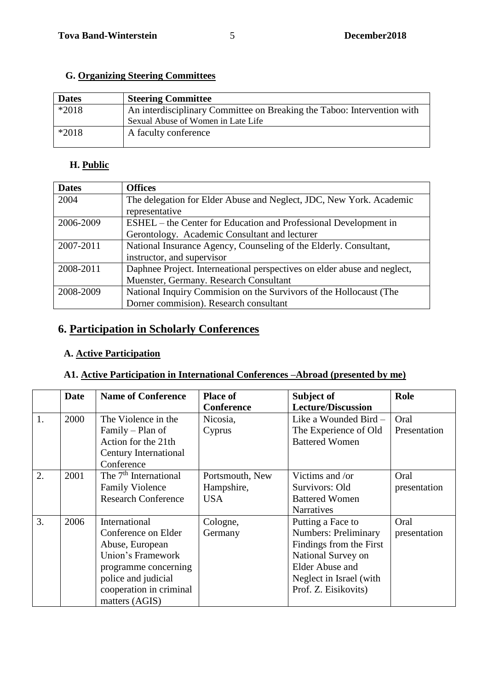### **G. Organizing Steering Committees**

| <b>Dates</b> | <b>Steering Committee</b>                                               |
|--------------|-------------------------------------------------------------------------|
| $*2018$      | An interdisciplinary Committee on Breaking the Taboo: Intervention with |
|              | Sexual Abuse of Women in Late Life                                      |
| $*2018$      | A faculty conference                                                    |

### **H. Public**

| <b>Dates</b> | <b>Offices</b>                                                           |  |  |  |
|--------------|--------------------------------------------------------------------------|--|--|--|
| 2004         | The delegation for Elder Abuse and Neglect, JDC, New York. Academic      |  |  |  |
|              | representative                                                           |  |  |  |
| 2006-2009    | ESHEL – the Center for Education and Professional Development in         |  |  |  |
|              | Gerontology. Academic Consultant and lecturer                            |  |  |  |
| 2007-2011    | National Insurance Agency, Counseling of the Elderly. Consultant,        |  |  |  |
|              | instructor, and supervisor                                               |  |  |  |
| 2008-2011    | Daphnee Project. Interneational perspectives on elder abuse and neglect, |  |  |  |
|              | Muenster, Germany. Research Consultant                                   |  |  |  |
| 2008-2009    | National Inquiry Commision on the Survivors of the Hollocaust (The       |  |  |  |
|              | Dorner commision). Research consultant                                   |  |  |  |

# **6. Participation in Scholarly Conferences**

### **A. Active Participation**

### **A1. Active Participation in International Conferences –Abroad (presented by me)**

|    | <b>Date</b> | <b>Name of Conference</b>         | <b>Place of</b>   | Subject of                  | Role         |
|----|-------------|-----------------------------------|-------------------|-----------------------------|--------------|
|    |             |                                   | <b>Conference</b> | <b>Lecture/Discussion</b>   |              |
| 1. | 2000        | The Violence in the               | Nicosia,          | Like a Wounded Bird -       | Oral         |
|    |             | Family – Plan of                  | Cyprus            | The Experience of Old       | Presentation |
|    |             | Action for the 21th               |                   | <b>Battered Women</b>       |              |
|    |             | Century International             |                   |                             |              |
|    |             | Conference                        |                   |                             |              |
| 2. | 2001        | The 7 <sup>th</sup> International | Portsmouth, New   | Victims and /or             | Oral         |
|    |             | <b>Family Violence</b>            | Hampshire,        | Survivors: Old              | presentation |
|    |             | <b>Research Conference</b>        | <b>USA</b>        | <b>Battered Women</b>       |              |
|    |             |                                   |                   | <b>Narratives</b>           |              |
| 3. | 2006        | International                     | Cologne,          | Putting a Face to           | Oral         |
|    |             | Conference on Elder               | Germany           | <b>Numbers: Preliminary</b> | presentation |
|    |             | Abuse, European                   |                   | Findings from the First     |              |
|    |             | Union's Framework                 |                   | National Survey on          |              |
|    |             | programme concerning              |                   | <b>Elder Abuse and</b>      |              |
|    |             | police and judicial               |                   | Neglect in Israel (with     |              |
|    |             | cooperation in criminal           |                   | Prof. Z. Eisikovits)        |              |
|    |             | matters (AGIS)                    |                   |                             |              |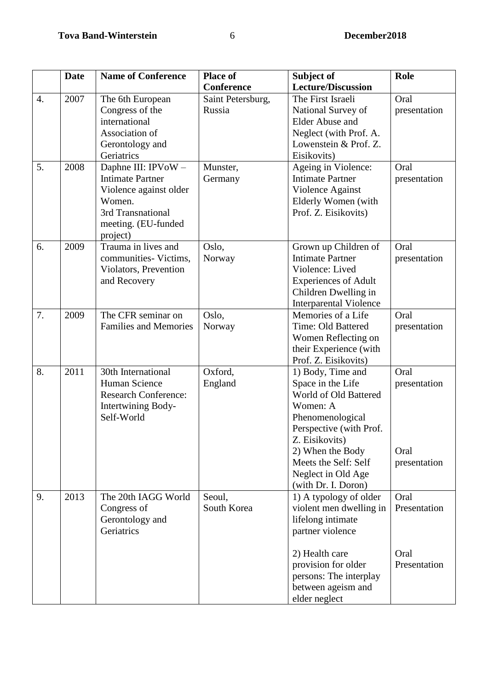|    | <b>Date</b> | <b>Name of Conference</b>                     | <b>Place of</b>   | Subject of                                     | Role         |
|----|-------------|-----------------------------------------------|-------------------|------------------------------------------------|--------------|
|    |             |                                               | Conference        | <b>Lecture/Discussion</b>                      |              |
| 4. | 2007        | The 6th European                              | Saint Petersburg, | The First Israeli                              | Oral         |
|    |             | Congress of the                               | Russia            | National Survey of                             | presentation |
|    |             | international                                 |                   | <b>Elder Abuse and</b>                         |              |
|    |             | Association of                                |                   | Neglect (with Prof. A.                         |              |
|    |             | Gerontology and                               |                   | Lowenstein & Prof. Z.                          |              |
|    |             | Geriatrics                                    |                   | Eisikovits)                                    |              |
| 5. | 2008        | Daphne III: IPVoW-<br><b>Intimate Partner</b> | Munster,          | Ageing in Violence:<br><b>Intimate Partner</b> | Oral         |
|    |             |                                               | Germany           |                                                | presentation |
|    |             | Violence against older<br>Women.              |                   | Violence Against<br>Elderly Women (with        |              |
|    |             | 3rd Transnational                             |                   | Prof. Z. Eisikovits)                           |              |
|    |             | meeting. (EU-funded                           |                   |                                                |              |
|    |             | project)                                      |                   |                                                |              |
| 6. | 2009        | Trauma in lives and                           | Oslo,             | Grown up Children of                           | Oral         |
|    |             | communities-Victims,                          | Norway            | <b>Intimate Partner</b>                        | presentation |
|    |             | Violators, Prevention                         |                   | Violence: Lived                                |              |
|    |             | and Recovery                                  |                   | <b>Experiences of Adult</b>                    |              |
|    |             |                                               |                   | Children Dwelling in                           |              |
|    |             |                                               |                   | <b>Interparental Violence</b>                  |              |
| 7. | 2009        | The CFR seminar on                            | Oslo,             | Memories of a Life                             | Oral         |
|    |             | <b>Families and Memories</b>                  | Norway            | Time: Old Battered                             | presentation |
|    |             |                                               |                   | Women Reflecting on                            |              |
|    |             |                                               |                   | their Experience (with                         |              |
| 8. | 2011        | 30th International                            | Oxford,           | Prof. Z. Eisikovits)                           | Oral         |
|    |             | Human Science                                 | England           | 1) Body, Time and<br>Space in the Life         | presentation |
|    |             | <b>Research Conference:</b>                   |                   | World of Old Battered                          |              |
|    |             | Intertwining Body-                            |                   | Women: A                                       |              |
|    |             | Self-World                                    |                   | Phenomenological                               |              |
|    |             |                                               |                   | Perspective (with Prof.                        |              |
|    |             |                                               |                   | Z. Eisikovits)                                 |              |
|    |             |                                               |                   | 2) When the Body                               | Oral         |
|    |             |                                               |                   | Meets the Self: Self                           | presentation |
|    |             |                                               |                   | Neglect in Old Age                             |              |
|    |             |                                               |                   | (with Dr. I. Doron)                            |              |
| 9. | 2013        | The 20th IAGG World                           | Seoul,            | 1) A typology of older                         | Oral         |
|    |             | Congress of                                   | South Korea       | violent men dwelling in                        | Presentation |
|    |             | Gerontology and                               |                   | lifelong intimate                              |              |
|    |             | Geriatrics                                    |                   | partner violence                               |              |
|    |             |                                               |                   | 2) Health care                                 | Oral         |
|    |             |                                               |                   | provision for older                            | Presentation |
|    |             |                                               |                   | persons: The interplay                         |              |
|    |             |                                               |                   |                                                |              |
|    |             |                                               |                   |                                                |              |
|    |             |                                               |                   | between ageism and<br>elder neglect            |              |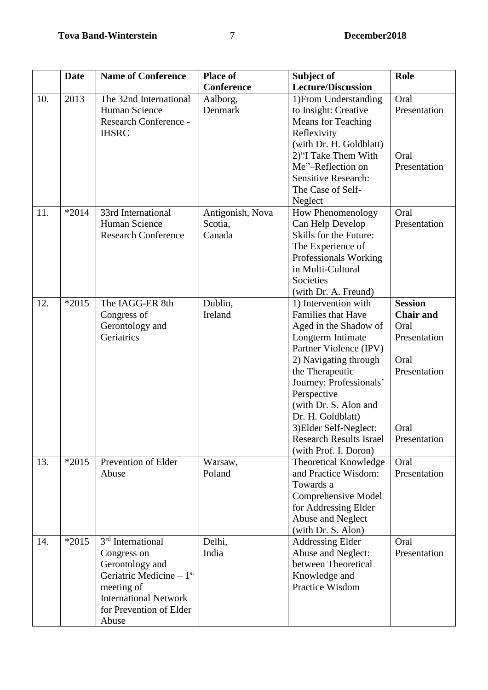|     | <b>Date</b> | <b>Name of Conference</b>                                                                                                                                                      | <b>Place of</b>                       | Subject of                                                                                                                                                                                                                                                                                                                                         | Role                                                                                                       |
|-----|-------------|--------------------------------------------------------------------------------------------------------------------------------------------------------------------------------|---------------------------------------|----------------------------------------------------------------------------------------------------------------------------------------------------------------------------------------------------------------------------------------------------------------------------------------------------------------------------------------------------|------------------------------------------------------------------------------------------------------------|
|     |             |                                                                                                                                                                                | <b>Conference</b>                     | <b>Lecture/Discussion</b>                                                                                                                                                                                                                                                                                                                          |                                                                                                            |
| 10. | 2013        | The 32nd International<br>Human Science<br><b>Research Conference -</b><br><b>IHSRC</b>                                                                                        | Aalborg,<br>Denmark                   | 1) From Understanding<br>to Insight: Creative<br><b>Means</b> for Teaching<br>Reflexivity<br>(with Dr. H. Goldblatt)<br>2)"I Take Them With<br>Me"-Reflection on<br><b>Sensitive Research:</b><br>The Case of Self-<br>Neglect                                                                                                                     | Oral<br>Presentation<br>Oral<br>Presentation                                                               |
| 11. | $*2014$     | 33rd International<br>Human Science<br><b>Research Conference</b>                                                                                                              | Antigonish, Nova<br>Scotia,<br>Canada | How Phenomenology<br>Can Help Develop<br>Skills for the Future:<br>The Experience of<br>Professionals Working<br>in Multi-Cultural<br>Societies<br>(with Dr. A. Freund)                                                                                                                                                                            | Oral<br>Presentation                                                                                       |
| 12. | $*2015$     | The IAGG-ER 8th<br>Congress of<br>Gerontology and<br>Geriatrics                                                                                                                | Dublin,<br>Ireland                    | 1) Intervention with<br><b>Families that Have</b><br>Aged in the Shadow of<br>Longterm Intimate<br>Partner Violence (IPV)<br>2) Navigating through<br>the Therapeutic<br>Journey: Professionals'<br>Perspective<br>(with Dr. S. Alon and<br>Dr. H. Goldblatt)<br>3) Elder Self-Neglect:<br><b>Research Results Israel</b><br>(with Prof. I. Doron) | <b>Session</b><br><b>Chair and</b><br>Oral<br>Presentation<br>Oral<br>Presentation<br>Oral<br>Presentation |
| 13. | $*2015$     | Prevention of Elder<br>Abuse                                                                                                                                                   | Warsaw,<br>Poland                     | Theoretical Knowledge<br>and Practice Wisdom:<br>Towards a<br>Comprehensive Model<br>for Addressing Elder<br>Abuse and Neglect<br>(with Dr. S. Alon)                                                                                                                                                                                               | Oral<br>Presentation                                                                                       |
| 14. | $*2015$     | 3 <sup>rd</sup> International<br>Congress on<br>Gerontology and<br>Geriatric Medicine $-1st$<br>meeting of<br><b>International Network</b><br>for Prevention of Elder<br>Abuse | Delhi,<br>India                       | <b>Addressing Elder</b><br>Abuse and Neglect:<br>between Theoretical<br>Knowledge and<br>Practice Wisdom                                                                                                                                                                                                                                           | Oral<br>Presentation                                                                                       |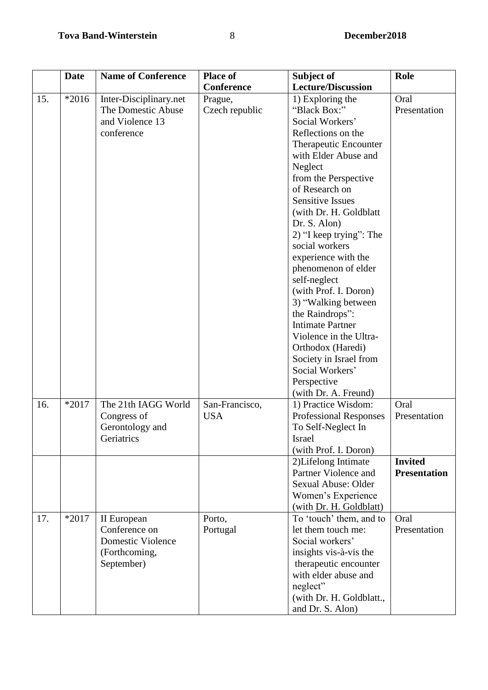|     | <b>Date</b> | <b>Name of Conference</b>                                                        | <b>Place of</b>              | Subject of                                                                                                                                                                                                                                                                                                                                                                                                                                                                                                                              | <b>Role</b>                           |
|-----|-------------|----------------------------------------------------------------------------------|------------------------------|-----------------------------------------------------------------------------------------------------------------------------------------------------------------------------------------------------------------------------------------------------------------------------------------------------------------------------------------------------------------------------------------------------------------------------------------------------------------------------------------------------------------------------------------|---------------------------------------|
|     |             |                                                                                  | <b>Conference</b>            | <b>Lecture/Discussion</b>                                                                                                                                                                                                                                                                                                                                                                                                                                                                                                               |                                       |
| 15. | $*2016$     | Inter-Disciplinary.net<br>The Domestic Abuse<br>and Violence 13<br>conference    | Prague,<br>Czech republic    | 1) Exploring the<br>"Black Box:"<br>Social Workers'<br>Reflections on the<br>Therapeutic Encounter<br>with Elder Abuse and<br>Neglect<br>from the Perspective<br>of Research on<br><b>Sensitive Issues</b><br>(with Dr. H. Goldblatt)<br>Dr. S. Alon)<br>2) "I keep trying": The<br>social workers<br>experience with the<br>phenomenon of elder<br>self-neglect<br>(with Prof. I. Doron)<br>3) "Walking between<br>the Raindrops":<br><b>Intimate Partner</b><br>Violence in the Ultra-<br>Orthodox (Haredi)<br>Society in Israel from | Oral<br>Presentation                  |
| 16. | $*2017$     | The 21th IAGG World<br>Congress of<br>Gerontology and<br>Geriatrics              | San-Francisco,<br><b>USA</b> | Social Workers'<br>Perspective<br>(with Dr. A. Freund)<br>1) Practice Wisdom:<br><b>Professional Responses</b><br>To Self-Neglect In<br>Israel<br>(with Prof. I. Doron)                                                                                                                                                                                                                                                                                                                                                                 | Oral<br>Presentation                  |
|     |             |                                                                                  |                              | 2)Lifelong Intimate<br>Partner Violence and<br>Sexual Abuse: Older<br>Women's Experience<br>(with Dr. H. Goldblatt)                                                                                                                                                                                                                                                                                                                                                                                                                     | <b>Invited</b><br><b>Presentation</b> |
| 17. | $*2017$     | II European<br>Conference on<br>Domestic Violence<br>(Forthcoming,<br>September) | Porto,<br>Portugal           | To 'touch' them, and to<br>let them touch me:<br>Social workers'<br>insights vis-à-vis the<br>therapeutic encounter<br>with elder abuse and<br>neglect"<br>(with Dr. H. Goldblatt.,<br>and Dr. S. Alon)                                                                                                                                                                                                                                                                                                                                 | Oral<br>Presentation                  |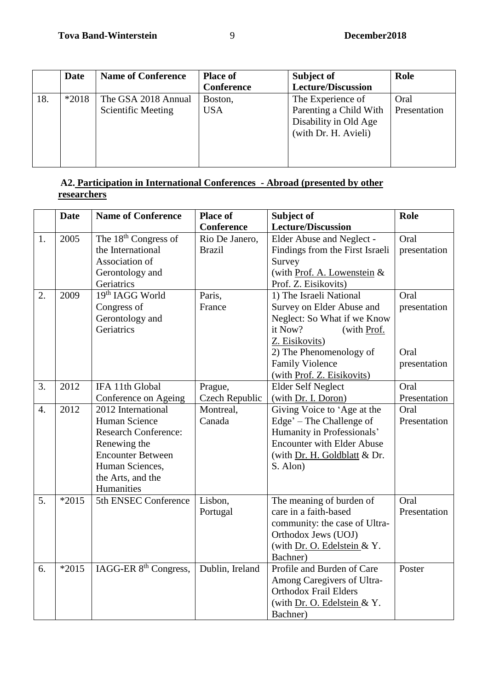| Subject of<br>Role<br><b>Place of</b>                | <b>Name of Conference</b> | Date           |  |
|------------------------------------------------------|---------------------------|----------------|--|
| <b>Lecture/Discussion</b><br><b>Conference</b>       |                           |                |  |
| Oral<br>The Experience of<br>Boston,                 | The GSA 2018 Annual       | 18.<br>$*2018$ |  |
| Parenting a Child With<br><b>USA</b><br>Presentation | <b>Scientific Meeting</b> |                |  |
| Disability in Old Age                                |                           |                |  |
| (with Dr. H. Avieli)                                 |                           |                |  |
|                                                      |                           |                |  |
|                                                      |                           |                |  |
|                                                      |                           |                |  |

#### **A2. Participation in International Conferences - Abroad (presented by other researchers**

|                  | <b>Date</b> | <b>Name of Conference</b>         | <b>Place of</b> | Subject of                        | Role         |
|------------------|-------------|-----------------------------------|-----------------|-----------------------------------|--------------|
|                  |             |                                   | Conference      | <b>Lecture/Discussion</b>         |              |
| 1.               | 2005        | The 18 <sup>th</sup> Congress of  | Rio De Janero,  | Elder Abuse and Neglect -         | Oral         |
|                  |             | the International                 | <b>Brazil</b>   | Findings from the First Israeli   | presentation |
|                  |             | Association of                    |                 | Survey                            |              |
|                  |             | Gerontology and                   |                 | (with Prof. A. Lowenstein &       |              |
|                  |             | Geriatrics                        |                 | Prof. Z. Eisikovits)              |              |
| 2.               | 2009        | $19th$ IAGG World                 | Paris,          | 1) The Israeli National           | Oral         |
|                  |             | Congress of                       | France          | Survey on Elder Abuse and         | presentation |
|                  |             | Gerontology and                   |                 | Neglect: So What if we Know       |              |
|                  |             | Geriatrics                        |                 | it Now?<br>(with Prof.            |              |
|                  |             |                                   |                 | Z. Eisikovits)                    |              |
|                  |             |                                   |                 | 2) The Phenomenology of           | Oral         |
|                  |             |                                   |                 | <b>Family Violence</b>            | presentation |
|                  |             |                                   |                 | (with Prof. Z. Eisikovits)        |              |
| 3.               | 2012        | IFA 11th Global                   | Prague,         | <b>Elder Self Neglect</b>         | Oral         |
|                  |             | Conference on Ageing              | Czech Republic  | (with Dr. I. Doron)               | Presentation |
| $\overline{4}$ . | 2012        | 2012 International                | Montreal,       | Giving Voice to 'Age at the       | Oral         |
|                  |             | Human Science                     | Canada          | Edge' – The Challenge of          | Presentation |
|                  |             | <b>Research Conference:</b>       |                 | Humanity in Professionals'        |              |
|                  |             | Renewing the                      |                 | <b>Encounter with Elder Abuse</b> |              |
|                  |             | <b>Encounter Between</b>          |                 | (with Dr. H. Goldblatt & Dr.      |              |
|                  |             | Human Sciences,                   |                 | S. Alon)                          |              |
|                  |             | the Arts, and the                 |                 |                                   |              |
|                  |             | Humanities                        |                 |                                   |              |
| 5.               | $*2015$     | 5th ENSEC Conference              | Lisbon,         | The meaning of burden of          | Oral         |
|                  |             |                                   | Portugal        | care in a faith-based             | Presentation |
|                  |             |                                   |                 | community: the case of Ultra-     |              |
|                  |             |                                   |                 | Orthodox Jews (UOJ)               |              |
|                  |             |                                   |                 | (with Dr. O. Edelstein & Y.       |              |
|                  |             |                                   |                 | Bachner)                          |              |
| 6.               | $*2015$     | IAGG-ER 8 <sup>th</sup> Congress, | Dublin, Ireland | Profile and Burden of Care        | Poster       |
|                  |             |                                   |                 | Among Caregivers of Ultra-        |              |
|                  |             |                                   |                 | <b>Orthodox Frail Elders</b>      |              |
|                  |             |                                   |                 | (with Dr. O. Edelstein & Y.       |              |
|                  |             |                                   |                 | Bachner)                          |              |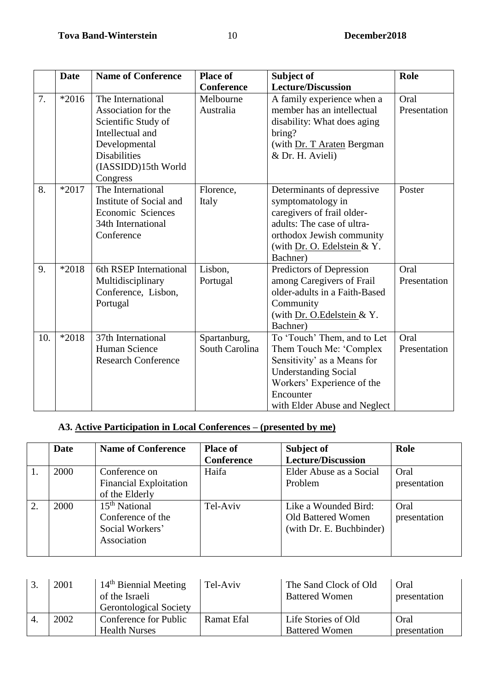|     | <b>Date</b> | <b>Name of Conference</b>                                                                                                                                      | <b>Place of</b>                | Subject of                                                                                                                                                                                      | Role                 |
|-----|-------------|----------------------------------------------------------------------------------------------------------------------------------------------------------------|--------------------------------|-------------------------------------------------------------------------------------------------------------------------------------------------------------------------------------------------|----------------------|
|     |             |                                                                                                                                                                | <b>Conference</b>              | <b>Lecture/Discussion</b>                                                                                                                                                                       |                      |
| 7.  | $*2016$     | The International<br>Association for the<br>Scientific Study of<br>Intellectual and<br>Developmental<br><b>Disabilities</b><br>(IASSIDD)15th World<br>Congress | Melbourne<br>Australia         | A family experience when a<br>member has an intellectual<br>disability: What does aging<br>bring?<br>(with Dr. T Araten Bergman<br>& Dr. H. Avieli)                                             | Oral<br>Presentation |
| 8.  | $*2017$     | The International<br>Institute of Social and<br>Economic Sciences<br>34th International<br>Conference                                                          | Florence,<br>Italy             | Determinants of depressive<br>symptomatology in<br>caregivers of frail older-<br>adults: The case of ultra-<br>orthodox Jewish community<br>(with Dr. O. Edelstein & Y.<br>Bachner)             | Poster               |
| 9.  | $*2018$     | 6th RSEP International<br>Multidisciplinary<br>Conference, Lisbon,<br>Portugal                                                                                 | Lisbon,<br>Portugal            | Predictors of Depression<br>among Caregivers of Frail<br>older-adults in a Faith-Based<br>Community<br>(with Dr. O.Edelstein & Y.<br>Bachner)                                                   | Oral<br>Presentation |
| 10. | *2018       | 37th International<br>Human Science<br><b>Research Conference</b>                                                                                              | Spartanburg,<br>South Carolina | To 'Touch' Them, and to Let<br>Them Touch Me: 'Complex<br>Sensitivity' as a Means for<br><b>Understanding Social</b><br>Workers' Experience of the<br>Encounter<br>with Elder Abuse and Neglect | Oral<br>Presentation |

# **A3. Active Participation in Local Conferences – (presented by me)**

|    | <b>Date</b> | <b>Name of Conference</b>     | <b>Place of</b>   | Subject of                | Role         |
|----|-------------|-------------------------------|-------------------|---------------------------|--------------|
|    |             |                               | <b>Conference</b> | <b>Lecture/Discussion</b> |              |
|    | 2000        | Conference on                 | Haifa             | Elder Abuse as a Social   | Oral         |
|    |             | <b>Financial Exploitation</b> |                   | Problem                   | presentation |
|    |             | of the Elderly                |                   |                           |              |
| 2. | 2000        | $15th$ National               | Tel-Aviv          | Like a Wounded Bird:      | Oral         |
|    |             | Conference of the             |                   | Old Battered Women        | presentation |
|    |             | Social Workers'               |                   | (with Dr. E. Buchbinder)  |              |
|    |             | Association                   |                   |                           |              |
|    |             |                               |                   |                           |              |

| 2001 | $14th$ Biennial Meeting<br>of the Israeli<br><b>Gerontological Society</b> | Tel-Aviv          | The Sand Clock of Old<br><b>Battered Women</b> | Oral<br>presentation |
|------|----------------------------------------------------------------------------|-------------------|------------------------------------------------|----------------------|
| 2002 | Conference for Public<br><b>Health Nurses</b>                              | <b>Ramat Efal</b> | Life Stories of Old<br><b>Battered Women</b>   | Oral<br>presentation |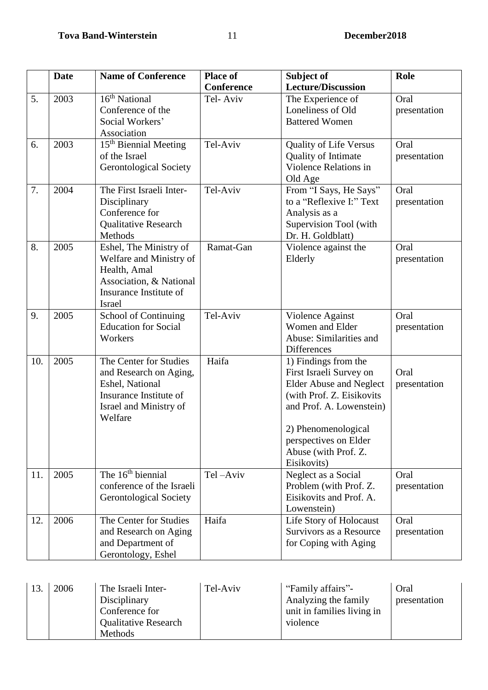|     | <b>Date</b> | <b>Name of Conference</b>                                                                                                               | <b>Place of</b><br><b>Conference</b> | Subject of<br><b>Lecture/Discussion</b>                                                                                                                                                                                           | Role                 |
|-----|-------------|-----------------------------------------------------------------------------------------------------------------------------------------|--------------------------------------|-----------------------------------------------------------------------------------------------------------------------------------------------------------------------------------------------------------------------------------|----------------------|
| 5.  | 2003        | 16 <sup>th</sup> National<br>Conference of the<br>Social Workers'<br>Association                                                        | Tel-Aviv                             | The Experience of<br>Loneliness of Old<br><b>Battered Women</b>                                                                                                                                                                   | Oral<br>presentation |
| 6.  | 2003        | 15 <sup>th</sup> Biennial Meeting<br>of the Israel<br><b>Gerontological Society</b>                                                     | Tel-Aviv                             | <b>Quality of Life Versus</b><br>Quality of Intimate<br>Violence Relations in<br>Old Age                                                                                                                                          | Oral<br>presentation |
| 7.  | 2004        | The First Israeli Inter-<br>Disciplinary<br>Conference for<br><b>Qualitative Research</b><br>Methods                                    | Tel-Aviv                             | From "I Says, He Says"<br>to a "Reflexive I:" Text<br>Analysis as a<br>Supervision Tool (with<br>Dr. H. Goldblatt)                                                                                                                | Oral<br>presentation |
| 8.  | 2005        | Eshel, The Ministry of<br>Welfare and Ministry of<br>Health, Amal<br>Association, & National<br>Insurance Institute of<br><b>Israel</b> | Ramat-Gan                            | Violence against the<br>Elderly                                                                                                                                                                                                   | Oral<br>presentation |
| 9.  | 2005        | School of Continuing<br><b>Education for Social</b><br>Workers                                                                          | Tel-Aviv                             | Violence Against<br>Women and Elder<br>Abuse: Similarities and<br><b>Differences</b>                                                                                                                                              | Oral<br>presentation |
| 10. | 2005        | The Center for Studies<br>and Research on Aging,<br>Eshel, National<br>Insurance Institute of<br>Israel and Ministry of<br>Welfare      | Haifa                                | 1) Findings from the<br>First Israeli Survey on<br><b>Elder Abuse and Neglect</b><br>(with Prof. Z. Eisikovits<br>and Prof. A. Lowenstein)<br>2) Phenomenological<br>perspectives on Elder<br>Abuse (with Prof. Z.<br>Eisikovits) | Oral<br>presentation |
| 11. | 2005        | The $16th$ biennial<br>conference of the Israeli<br><b>Gerontological Society</b>                                                       | Tel-Aviv                             | Neglect as a Social<br>Problem (with Prof. Z.<br>Eisikovits and Prof. A.<br>Lowenstein)                                                                                                                                           | Oral<br>presentation |
| 12. | 2006        | The Center for Studies<br>and Research on Aging<br>and Department of<br>Gerontology, Eshel                                              | Haifa                                | Life Story of Holocaust<br>Survivors as a Resource<br>for Coping with Aging                                                                                                                                                       | Oral<br>presentation |

| 2006 | The Israeli Inter-<br>Disciplinary<br>Conference for | Tel-Aviv | "Family affairs"-<br>Analyzing the family<br>unit in families living in | Oral<br>presentation |
|------|------------------------------------------------------|----------|-------------------------------------------------------------------------|----------------------|
|      | <b>Qualitative Research</b><br><b>Methods</b>        |          | violence                                                                |                      |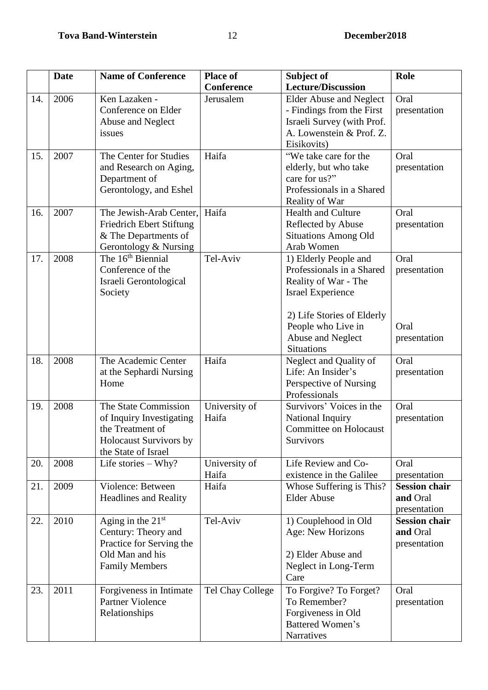|     | <b>Date</b> | <b>Name of Conference</b>                                                                                             | <b>Place of</b>        | Subject of                                                                                                                                                                                           | Role                                             |
|-----|-------------|-----------------------------------------------------------------------------------------------------------------------|------------------------|------------------------------------------------------------------------------------------------------------------------------------------------------------------------------------------------------|--------------------------------------------------|
|     |             |                                                                                                                       | <b>Conference</b>      | <b>Lecture/Discussion</b>                                                                                                                                                                            |                                                  |
| 14. | 2006        | Ken Lazaken -<br>Conference on Elder<br>Abuse and Neglect<br>issues                                                   | Jerusalem              | <b>Elder Abuse and Neglect</b><br>- Findings from the First<br>Israeli Survey (with Prof.<br>A. Lowenstein & Prof. Z.<br>Eisikovits)                                                                 | Oral<br>presentation                             |
| 15. | 2007        | The Center for Studies<br>and Research on Aging,<br>Department of<br>Gerontology, and Eshel                           | Haifa                  | "We take care for the<br>elderly, but who take<br>care for us?"<br>Professionals in a Shared<br>Reality of War                                                                                       | Oral<br>presentation                             |
| 16. | 2007        | The Jewish-Arab Center,<br><b>Friedrich Ebert Stiftung</b><br>& The Departments of<br>Gerontology & Nursing           | Haifa                  | <b>Health and Culture</b><br>Reflected by Abuse<br><b>Situations Among Old</b><br>Arab Women                                                                                                         | Oral<br>presentation                             |
| 17. | 2008        | The 16 <sup>th</sup> Biennial<br>Conference of the<br>Israeli Gerontological<br>Society                               | Tel-Aviv               | 1) Elderly People and<br>Professionals in a Shared<br>Reality of War - The<br><b>Israel Experience</b><br>2) Life Stories of Elderly<br>People who Live in<br>Abuse and Neglect<br><b>Situations</b> | Oral<br>presentation<br>Oral<br>presentation     |
| 18. | 2008        | The Academic Center<br>at the Sephardi Nursing<br>Home                                                                | Haifa                  | Neglect and Quality of<br>Life: An Insider's<br>Perspective of Nursing<br>Professionals                                                                                                              | Oral<br>presentation                             |
| 19. | 2008        | The State Commission<br>of Inquiry Investigating<br>the Treatment of<br>Holocaust Survivors by<br>the State of Israel | University of<br>Haifa | Survivors' Voices in the<br>National Inquiry<br><b>Committee on Holocaust</b><br>Survivors                                                                                                           | Oral<br>presentation                             |
| 20. | 2008        | Life stories $-$ Why?                                                                                                 | University of<br>Haifa | Life Review and Co-<br>existence in the Galilee                                                                                                                                                      | Oral<br>presentation                             |
| 21. | 2009        | Violence: Between<br><b>Headlines and Reality</b>                                                                     | Haifa                  | Whose Suffering is This?<br><b>Elder Abuse</b>                                                                                                                                                       | <b>Session chair</b><br>and Oral<br>presentation |
| 22. | 2010        | Aging in the $21st$<br>Century: Theory and<br>Practice for Serving the<br>Old Man and his<br><b>Family Members</b>    | Tel-Aviv               | 1) Couplehood in Old<br>Age: New Horizons<br>2) Elder Abuse and<br>Neglect in Long-Term<br>Care                                                                                                      | <b>Session chair</b><br>and Oral<br>presentation |
| 23. | 2011        | Forgiveness in Intimate<br>Partner Violence<br>Relationships                                                          | Tel Chay College       | To Forgive? To Forget?<br>To Remember?<br>Forgiveness in Old<br>Battered Women's<br>Narratives                                                                                                       | Oral<br>presentation                             |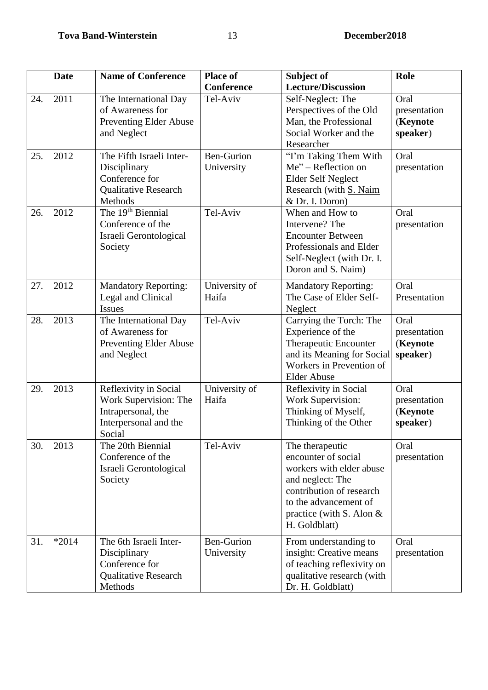|     | <b>Date</b> | <b>Name of Conference</b>                                                                               | <b>Place of</b>                 | Subject of                                                                                                                                                                                 | Role                                         |
|-----|-------------|---------------------------------------------------------------------------------------------------------|---------------------------------|--------------------------------------------------------------------------------------------------------------------------------------------------------------------------------------------|----------------------------------------------|
|     |             |                                                                                                         | <b>Conference</b>               | <b>Lecture/Discussion</b>                                                                                                                                                                  |                                              |
| 24. | 2011        | The International Day<br>of Awareness for<br><b>Preventing Elder Abuse</b><br>and Neglect               | Tel-Aviv                        | Self-Neglect: The<br>Perspectives of the Old<br>Man, the Professional<br>Social Worker and the<br>Researcher                                                                               | Oral<br>presentation<br>(Keynote<br>speaker) |
| 25. | 2012        | The Fifth Israeli Inter-<br>Disciplinary<br>Conference for<br><b>Qualitative Research</b><br>Methods    | <b>Ben-Gurion</b><br>University | "I'm Taking Them With<br>$Me2 - Reflection on$<br><b>Elder Self Neglect</b><br>Research (with S. Naim<br>& Dr. I. Doron)                                                                   | Oral<br>presentation                         |
| 26. | 2012        | The 19 <sup>th</sup> Biennial<br>Conference of the<br>Israeli Gerontological<br>Society                 | Tel-Aviv                        | When and How to<br>Intervene? The<br><b>Encounter Between</b><br>Professionals and Elder<br>Self-Neglect (with Dr. I.<br>Doron and S. Naim)                                                | Oral<br>presentation                         |
| 27. | 2012        | <b>Mandatory Reporting:</b><br>Legal and Clinical<br><b>Issues</b>                                      | University of<br>Haifa          | <b>Mandatory Reporting:</b><br>The Case of Elder Self-<br>Neglect                                                                                                                          | Oral<br>Presentation                         |
| 28. | 2013        | The International Day<br>of Awareness for<br><b>Preventing Elder Abuse</b><br>and Neglect               | Tel-Aviv                        | Carrying the Torch: The<br>Experience of the<br>Therapeutic Encounter<br>and its Meaning for Social<br>Workers in Prevention of<br><b>Elder Abuse</b>                                      | Oral<br>presentation<br>(Keynote<br>speaker) |
| 29. | 2013        | Reflexivity in Social<br>Work Supervision: The<br>Intrapersonal, the<br>Interpersonal and the<br>Social | University of<br>Haifa          | Reflexivity in Social<br><b>Work Supervision:</b><br>Thinking of Myself,<br>Thinking of the Other                                                                                          | Oral<br>presentation<br>(Keynote<br>speaker) |
| 30. | 2013        | The 20th Biennial<br>Conference of the<br>Israeli Gerontological<br>Society                             | Tel-Aviv                        | The therapeutic<br>encounter of social<br>workers with elder abuse<br>and neglect: The<br>contribution of research<br>to the advancement of<br>practice (with S. Alon $&$<br>H. Goldblatt) | Oral<br>presentation                         |
| 31. | $*2014$     | The 6th Israeli Inter-<br>Disciplinary<br>Conference for<br><b>Qualitative Research</b><br>Methods      | <b>Ben-Gurion</b><br>University | From understanding to<br>insight: Creative means<br>of teaching reflexivity on<br>qualitative research (with<br>Dr. H. Goldblatt)                                                          | Oral<br>presentation                         |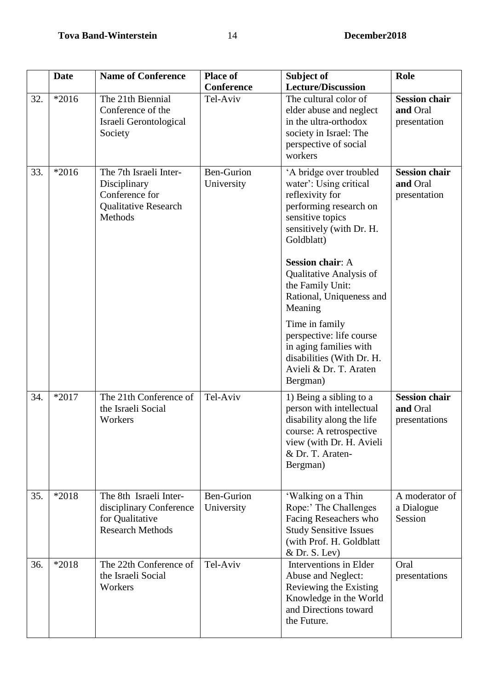|     | <b>Date</b> | <b>Name of Conference</b>                                                                          | <b>Place of</b><br>Conference   | Subject of<br><b>Lecture/Discussion</b>                                                                                                                                                                                                                                                                                                                                                                                  | Role                                              |
|-----|-------------|----------------------------------------------------------------------------------------------------|---------------------------------|--------------------------------------------------------------------------------------------------------------------------------------------------------------------------------------------------------------------------------------------------------------------------------------------------------------------------------------------------------------------------------------------------------------------------|---------------------------------------------------|
| 32. | $*2016$     | The 21th Biennial<br>Conference of the<br>Israeli Gerontological<br>Society                        | Tel-Aviv                        | The cultural color of<br>elder abuse and neglect<br>in the ultra-orthodox<br>society in Israel: The<br>perspective of social<br>workers                                                                                                                                                                                                                                                                                  | <b>Session chair</b><br>and Oral<br>presentation  |
| 33. | $*2016$     | The 7th Israeli Inter-<br>Disciplinary<br>Conference for<br><b>Qualitative Research</b><br>Methods | <b>Ben-Gurion</b><br>University | 'A bridge over troubled<br>water': Using critical<br>reflexivity for<br>performing research on<br>sensitive topics<br>sensitively (with Dr. H.<br>Goldblatt)<br><b>Session chair: A</b><br>Qualitative Analysis of<br>the Family Unit:<br>Rational, Uniqueness and<br>Meaning<br>Time in family<br>perspective: life course<br>in aging families with<br>disabilities (With Dr. H.<br>Avieli & Dr. T. Araten<br>Bergman) | <b>Session chair</b><br>and Oral<br>presentation  |
| 34. | $*2017$     | The 21th Conference of<br>the Israeli Social<br>Workers                                            | Tel-Aviv                        | 1) Being a sibling to a<br>person with intellectual<br>disability along the life<br>course: A retrospective<br>view (with Dr. H. Avieli<br>& Dr. T. Araten-<br>Bergman)                                                                                                                                                                                                                                                  | <b>Session chair</b><br>and Oral<br>presentations |
| 35. | *2018       | The 8th Israeli Inter-<br>disciplinary Conference<br>for Qualitative<br><b>Research Methods</b>    | <b>Ben-Gurion</b><br>University | 'Walking on a Thin<br>Rope:' The Challenges<br>Facing Reseachers who<br><b>Study Sensitive Issues</b><br>(with Prof. H. Goldblatt<br>& Dr. S. Lev)                                                                                                                                                                                                                                                                       | A moderator of<br>a Dialogue<br>Session           |
| 36. | *2018       | The 22th Conference of<br>the Israeli Social<br>Workers                                            | Tel-Aviv                        | Interventions in Elder<br>Abuse and Neglect:<br>Reviewing the Existing<br>Knowledge in the World<br>and Directions toward<br>the Future.                                                                                                                                                                                                                                                                                 | Oral<br>presentations                             |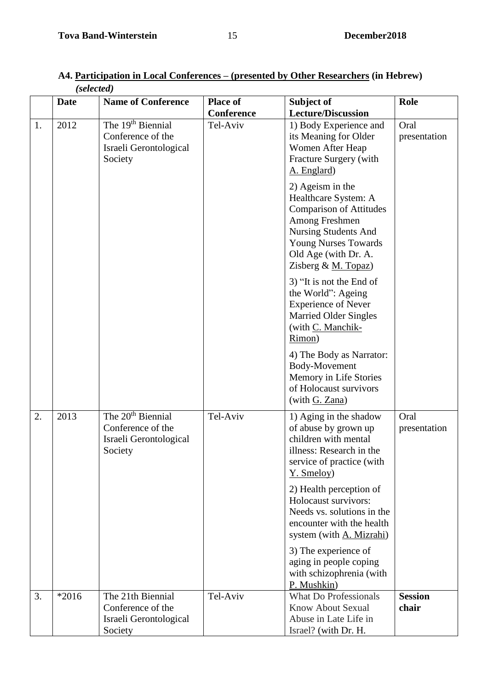|    | (selected)  |                                                                                         |                                      |                                                                                                                                                                                                       |                         |  |
|----|-------------|-----------------------------------------------------------------------------------------|--------------------------------------|-------------------------------------------------------------------------------------------------------------------------------------------------------------------------------------------------------|-------------------------|--|
|    | <b>Date</b> | <b>Name of Conference</b>                                                               | <b>Place of</b><br><b>Conference</b> | Subject of<br><b>Lecture/Discussion</b>                                                                                                                                                               | Role                    |  |
| 1. | 2012        | The 19 <sup>th</sup> Biennial<br>Conference of the<br>Israeli Gerontological<br>Society | Tel-Aviv                             | 1) Body Experience and<br>its Meaning for Older<br>Women After Heap<br>Fracture Surgery (with<br>A. Englard)                                                                                          | Oral<br>presentation    |  |
|    |             |                                                                                         |                                      | 2) Ageism in the<br>Healthcare System: A<br><b>Comparison of Attitudes</b><br>Among Freshmen<br>Nursing Students And<br><b>Young Nurses Towards</b><br>Old Age (with Dr. A.<br>Zisberg & $M. Topaz$ ) |                         |  |
|    |             |                                                                                         |                                      | 3) "It is not the End of<br>the World": Ageing<br><b>Experience of Never</b><br><b>Married Older Singles</b><br>(with C. Manchik-<br>Rimon)                                                           |                         |  |
|    |             |                                                                                         |                                      | 4) The Body as Narrator:<br>Body-Movement<br>Memory in Life Stories<br>of Holocaust survivors<br>(with G. Zana)                                                                                       |                         |  |
| 2. | 2013        | The 20 <sup>th</sup> Biennial<br>Conference of the<br>Israeli Gerontological<br>Society | Tel-Aviv                             | 1) Aging in the shadow<br>of abuse by grown up<br>children with mental<br>illness: Research in the<br>service of practice (with<br>Y. Smeloy)                                                         | Oral<br>presentation    |  |
|    |             |                                                                                         |                                      | 2) Health perception of<br>Holocaust survivors:<br>Needs vs. solutions in the<br>encounter with the health<br>system (with A. Mizrahi)                                                                |                         |  |
|    |             |                                                                                         |                                      | 3) The experience of<br>aging in people coping<br>with schizophrenia (with<br>P. Mushkin)                                                                                                             |                         |  |
| 3. | $*2016$     | The 21th Biennial<br>Conference of the<br>Israeli Gerontological<br>Society             | Tel-Aviv                             | <b>What Do Professionals</b><br><b>Know About Sexual</b><br>Abuse in Late Life in<br>Israel? (with Dr. H.                                                                                             | <b>Session</b><br>chair |  |

# **A4. Participation in Local Conferences – (presented by Other Researchers (in Hebrew)**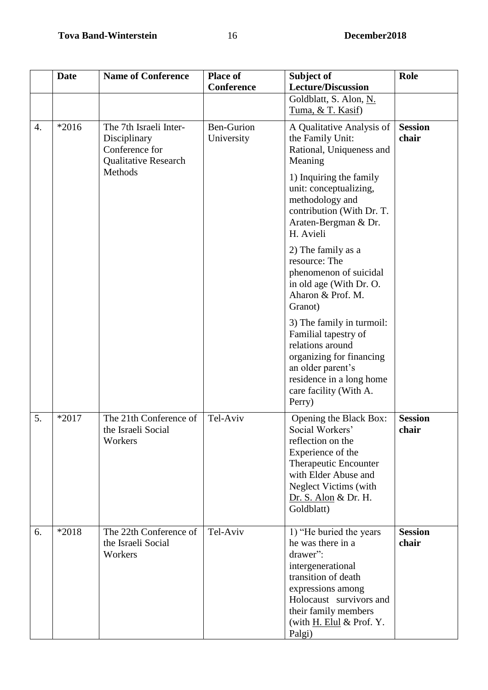|                  | <b>Date</b> | <b>Name of Conference</b>                                                               | <b>Place of</b><br><b>Conference</b> | Subject of<br><b>Lecture/Discussion</b>                                                                                                                                                                               | Role                    |
|------------------|-------------|-----------------------------------------------------------------------------------------|--------------------------------------|-----------------------------------------------------------------------------------------------------------------------------------------------------------------------------------------------------------------------|-------------------------|
|                  |             |                                                                                         |                                      | Goldblatt, S. Alon, N.<br>Tuma, & T. Kasif)                                                                                                                                                                           |                         |
| $\overline{4}$ . | $*2016$     | The 7th Israeli Inter-<br>Disciplinary<br>Conference for<br><b>Qualitative Research</b> | <b>Ben-Gurion</b><br>University      | A Qualitative Analysis of<br>the Family Unit:<br>Rational, Uniqueness and<br>Meaning                                                                                                                                  | <b>Session</b><br>chair |
|                  |             | Methods                                                                                 |                                      | 1) Inquiring the family<br>unit: conceptualizing,<br>methodology and<br>contribution (With Dr. T.<br>Araten-Bergman & Dr.<br>H. Avieli                                                                                |                         |
|                  |             |                                                                                         |                                      | 2) The family as a<br>resource: The<br>phenomenon of suicidal<br>in old age (With Dr. O.<br>Aharon & Prof. M.<br>Granot)                                                                                              |                         |
|                  |             |                                                                                         |                                      | 3) The family in turmoil:<br>Familial tapestry of<br>relations around<br>organizing for financing<br>an older parent's<br>residence in a long home<br>care facility (With A.<br>Perry)                                |                         |
| 5.               | *2017       | The 21th Conference of<br>the Israeli Social<br>Workers                                 | Tel-Aviv                             | Opening the Black Box:<br>Social Workers'<br>reflection on the<br>Experience of the<br>Therapeutic Encounter<br>with Elder Abuse and<br>Neglect Victims (with<br>Dr. S. Alon & Dr. H.<br>Goldblatt)                   | <b>Session</b><br>chair |
| 6.               | *2018       | The 22th Conference of<br>the Israeli Social<br>Workers                                 | Tel-Aviv                             | 1) "He buried the years<br>he was there in a<br>drawer":<br>intergenerational<br>transition of death<br>expressions among<br>Holocaust survivors and<br>their family members<br>(with $H$ . Elul & Prof. Y.<br>Palgi) | <b>Session</b><br>chair |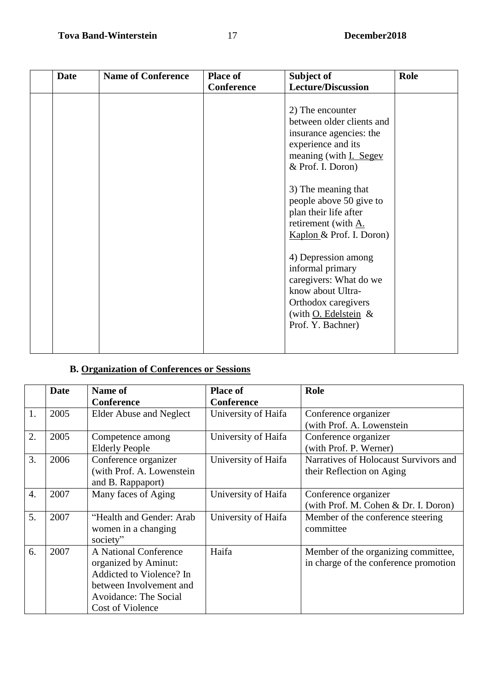| <b>Date</b> | <b>Name of Conference</b> | <b>Place of</b> | Subject of                                                                                                                                                    | Role |
|-------------|---------------------------|-----------------|---------------------------------------------------------------------------------------------------------------------------------------------------------------|------|
|             |                           | Conference      | <b>Lecture/Discussion</b>                                                                                                                                     |      |
|             |                           |                 | 2) The encounter<br>between older clients and<br>insurance agencies: the<br>experience and its<br>meaning (with I. Segev<br>& Prof. I. Doron)                 |      |
|             |                           |                 | 3) The meaning that<br>people above 50 give to<br>plan their life after<br>retirement (with A.<br>Kaplon & Prof. I. Doron)                                    |      |
|             |                           |                 | 4) Depression among<br>informal primary<br>caregivers: What do we<br>know about Ultra-<br>Orthodox caregivers<br>(with $Q$ . Edelstein &<br>Prof. Y. Bachner) |      |

# **B. Organization of Conferences or Sessions**

|                  | <b>Date</b> | Name of<br>Conference                                                                                                                             | <b>Place of</b><br><b>Conference</b> | Role                                                                         |
|------------------|-------------|---------------------------------------------------------------------------------------------------------------------------------------------------|--------------------------------------|------------------------------------------------------------------------------|
| 1.               | 2005        | <b>Elder Abuse and Neglect</b>                                                                                                                    | University of Haifa                  | Conference organizer<br>(with Prof. A. Lowenstein                            |
| 2.               | 2005        | Competence among<br><b>Elderly People</b>                                                                                                         | University of Haifa                  | Conference organizer<br>(with Prof. P. Werner)                               |
| 3.               | 2006        | Conference organizer<br>(with Prof. A. Lowenstein<br>and B. Rappaport)                                                                            | University of Haifa                  | Narratives of Holocaust Survivors and<br>their Reflection on Aging           |
| $\overline{4}$ . | 2007        | Many faces of Aging                                                                                                                               | University of Haifa                  | Conference organizer<br>(with Prof. M. Cohen & Dr. I. Doron)                 |
| 5.               | 2007        | "Health and Gender: Arab<br>women in a changing<br>society"                                                                                       | University of Haifa                  | Member of the conference steering<br>committee                               |
| 6.               | 2007        | A National Conference<br>organized by Aminut:<br>Addicted to Violence? In<br>between Involvement and<br>Avoidance: The Social<br>Cost of Violence | Haifa                                | Member of the organizing committee,<br>in charge of the conference promotion |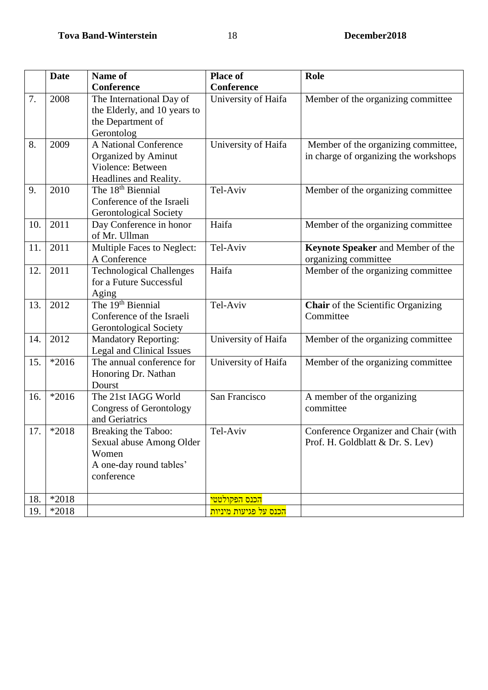|     | <b>Date</b> | Name of                         | <b>Place of</b>                    | Role                                      |
|-----|-------------|---------------------------------|------------------------------------|-------------------------------------------|
|     |             | <b>Conference</b>               | Conference                         |                                           |
| 7.  | 2008        | The International Day of        | University of Haifa                | Member of the organizing committee        |
|     |             | the Elderly, and 10 years to    |                                    |                                           |
|     |             | the Department of               |                                    |                                           |
|     |             | Gerontolog                      |                                    |                                           |
| 8.  | 2009        | A National Conference           | University of Haifa                | Member of the organizing committee,       |
|     |             | Organized by Aminut             |                                    | in charge of organizing the workshops     |
|     |             | Violence: Between               |                                    |                                           |
|     |             | Headlines and Reality.          |                                    |                                           |
| 9.  | 2010        | The 18 <sup>th</sup> Biennial   | Tel-Aviv                           | Member of the organizing committee        |
|     |             | Conference of the Israeli       |                                    |                                           |
|     |             | <b>Gerontological Society</b>   |                                    |                                           |
| 10. | 2011        | Day Conference in honor         | Haifa                              | Member of the organizing committee        |
|     |             | of Mr. Ullman                   |                                    |                                           |
| 11. | 2011        | Multiple Faces to Neglect:      | Tel-Aviv                           | Keynote Speaker and Member of the         |
|     |             | A Conference                    |                                    | organizing committee                      |
| 12. | 2011        | <b>Technological Challenges</b> | Haifa                              | Member of the organizing committee        |
|     |             | for a Future Successful         |                                    |                                           |
|     |             | Aging                           |                                    |                                           |
| 13. | 2012        | The 19 <sup>th</sup> Biennial   | Tel-Aviv                           | <b>Chair</b> of the Scientific Organizing |
|     |             | Conference of the Israeli       |                                    | Committee                                 |
|     |             | <b>Gerontological Society</b>   |                                    |                                           |
| 14. | 2012        | <b>Mandatory Reporting:</b>     | University of Haifa                | Member of the organizing committee        |
|     |             | Legal and Clinical Issues       |                                    |                                           |
| 15. | $*2016$     | The annual conference for       | University of Haifa                | Member of the organizing committee        |
|     |             | Honoring Dr. Nathan             |                                    |                                           |
|     |             | Dourst                          |                                    |                                           |
| 16. | $*2016$     | The 21st IAGG World             | San Francisco                      | A member of the organizing                |
|     |             | <b>Congress of Gerontology</b>  |                                    | committee                                 |
|     |             | and Geriatrics                  |                                    |                                           |
| 17. | *2018       | Breaking the Taboo:             | Tel-Aviv                           | Conference Organizer and Chair (with      |
|     |             | Sexual abuse Among Older        |                                    | Prof. H. Goldblatt & Dr. S. Lev)          |
|     |             | Women                           |                                    |                                           |
|     |             | A one-day round tables'         |                                    |                                           |
|     |             | conference                      |                                    |                                           |
| 18. | $*2018$     |                                 | <mark>הכנס הפקולטטי</mark>         |                                           |
| 19. | $*2018$     |                                 | <mark>הכנס על פגיעות מיניות</mark> |                                           |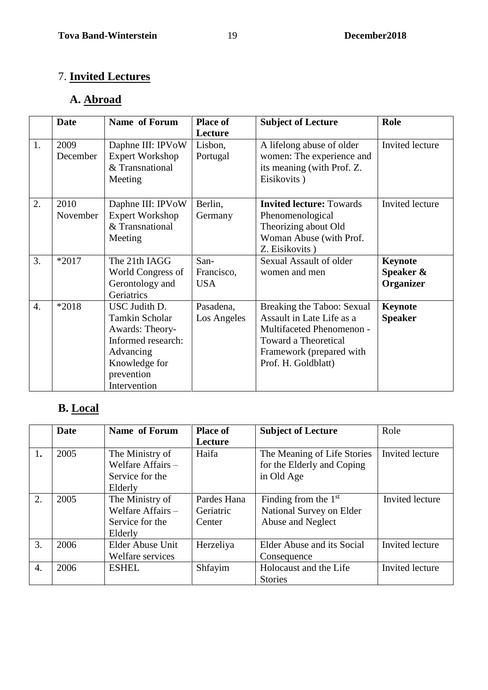# 7. **Invited Lectures**

# **A. Abroad**

|                  | <b>Date</b> | Name of Forum          | <b>Place of</b> | <b>Subject of Lecture</b>       | Role            |
|------------------|-------------|------------------------|-----------------|---------------------------------|-----------------|
|                  |             |                        | Lecture         |                                 |                 |
| 1.               | 2009        | Daphne III: IPVoW      | Lisbon,         | A lifelong abuse of older       | Invited lecture |
|                  | December    | <b>Expert Workshop</b> | Portugal        | women: The experience and       |                 |
|                  |             | & Transnational        |                 | its meaning (with Prof. Z.      |                 |
|                  |             | Meeting                |                 | Eisikovits)                     |                 |
|                  |             |                        |                 |                                 |                 |
| 2.               | 2010        | Daphne III: IPVoW      | Berlin,         | <b>Invited lecture: Towards</b> | Invited lecture |
|                  | November    | <b>Expert Workshop</b> | Germany         | Phenomenological                |                 |
|                  |             | & Transnational        |                 | Theorizing about Old            |                 |
|                  |             | Meeting                |                 | Woman Abuse (with Prof.         |                 |
|                  |             |                        |                 | Z. Eisikovits)                  |                 |
| 3.               | $*2017$     | The 21th IAGG          | San-            | Sexual Assault of older         | <b>Keynote</b>  |
|                  |             | World Congress of      | Francisco,      | women and men                   | Speaker &       |
|                  |             | Gerontology and        | <b>USA</b>      |                                 | Organizer       |
|                  |             | Geriatrics             |                 |                                 |                 |
| $\overline{4}$ . | *2018       | USC Judith D.          | Pasadena,       | Breaking the Taboo: Sexual      | <b>Keynote</b>  |
|                  |             | Tamkin Scholar         | Los Angeles     | Assault in Late Life as a       | <b>Speaker</b>  |
|                  |             | Awards: Theory-        |                 | Multifaceted Phenomenon -       |                 |
|                  |             | Informed research:     |                 | <b>Toward a Theoretical</b>     |                 |
|                  |             | Advancing              |                 | Framework (prepared with        |                 |
|                  |             | Knowledge for          |                 | Prof. H. Goldblatt)             |                 |
|                  |             | prevention             |                 |                                 |                 |
|                  |             | Intervention           |                 |                                 |                 |

# **B. Local**

|    | Date | Name of Forum       | <b>Place of</b> | <b>Subject of Lecture</b>   | Role            |
|----|------|---------------------|-----------------|-----------------------------|-----------------|
|    |      |                     | Lecture         |                             |                 |
| 1. | 2005 | The Ministry of     | Haifa           | The Meaning of Life Stories | Invited lecture |
|    |      | Welfare Affairs -   |                 | for the Elderly and Coping  |                 |
|    |      | Service for the     |                 | in Old Age                  |                 |
|    |      | Elderly             |                 |                             |                 |
| 2. | 2005 | The Ministry of     | Pardes Hana     | Finding from the $1st$      | Invited lecture |
|    |      | Welfare Affairs $-$ | Geriatric       | National Survey on Elder    |                 |
|    |      | Service for the     | Center          | Abuse and Neglect           |                 |
|    |      | Elderly             |                 |                             |                 |
| 3. | 2006 | Elder Abuse Unit    | Herzeliya       | Elder Abuse and its Social  | Invited lecture |
|    |      | Welfare services    |                 | Consequence                 |                 |
| 4. | 2006 | <b>ESHEL</b>        | Shfayim         | Holocaust and the Life      | Invited lecture |
|    |      |                     |                 | <b>Stories</b>              |                 |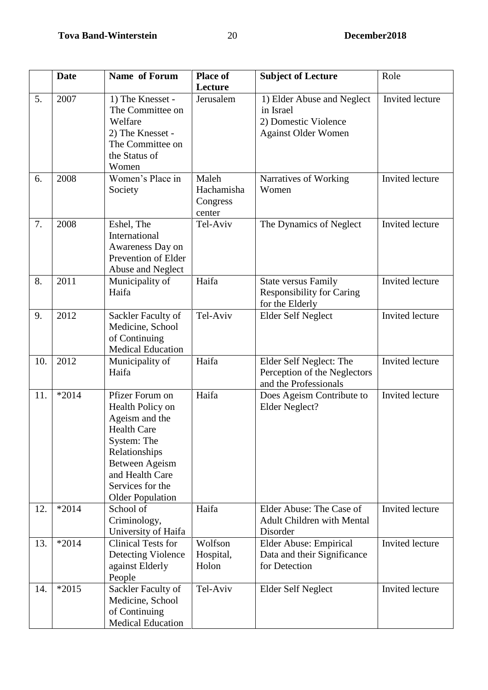|     | Date    | Name of Forum                                                                                                                                                                                   | <b>Place of</b>                           | <b>Subject of Lecture</b>                                                                     | Role                   |
|-----|---------|-------------------------------------------------------------------------------------------------------------------------------------------------------------------------------------------------|-------------------------------------------|-----------------------------------------------------------------------------------------------|------------------------|
|     |         |                                                                                                                                                                                                 | Lecture                                   |                                                                                               |                        |
| 5.  | 2007    | 1) The Knesset -<br>The Committee on<br>Welfare<br>2) The Knesset -<br>The Committee on<br>the Status of<br>Women                                                                               | Jerusalem                                 | 1) Elder Abuse and Neglect<br>in Israel<br>2) Domestic Violence<br><b>Against Older Women</b> | Invited lecture        |
| 6.  | 2008    | Women's Place in<br>Society                                                                                                                                                                     | Maleh<br>Hachamisha<br>Congress<br>center | Narratives of Working<br>Women                                                                | Invited lecture        |
| 7.  | 2008    | Eshel, The<br>International<br>Awareness Day on<br>Prevention of Elder<br>Abuse and Neglect                                                                                                     | Tel-Aviv                                  | The Dynamics of Neglect                                                                       | Invited lecture        |
| 8.  | 2011    | Municipality of<br>Haifa                                                                                                                                                                        | Haifa                                     | <b>State versus Family</b><br><b>Responsibility for Caring</b><br>for the Elderly             | Invited lecture        |
| 9.  | 2012    | Sackler Faculty of<br>Medicine, School<br>of Continuing<br><b>Medical Education</b>                                                                                                             | Tel-Aviv                                  | Elder Self Neglect                                                                            | Invited lecture        |
| 10. | 2012    | Municipality of<br>Haifa                                                                                                                                                                        | Haifa                                     | Elder Self Neglect: The<br>Perception of the Neglectors<br>and the Professionals              | Invited lecture        |
| 11. | $*2014$ | Pfizer Forum on<br>Health Policy on<br>Ageism and the<br><b>Health Care</b><br>System: The<br>Relationships<br>Between Ageism<br>and Health Care<br>Services for the<br><b>Older Population</b> | Haifa                                     | Does Ageism Contribute to<br>Elder Neglect?                                                   | <b>Invited</b> lecture |
| 12. | $*2014$ | School of<br>Criminology,<br>University of Haifa                                                                                                                                                | Haifa                                     | Elder Abuse: The Case of<br><b>Adult Children with Mental</b><br>Disorder                     | Invited lecture        |
| 13. | $*2014$ | <b>Clinical Tests for</b><br>Detecting Violence<br>against Elderly<br>People                                                                                                                    | Wolfson<br>Hospital,<br>Holon             | Elder Abuse: Empirical<br>Data and their Significance<br>for Detection                        | Invited lecture        |
| 14. | $*2015$ | Sackler Faculty of<br>Medicine, School<br>of Continuing<br><b>Medical Education</b>                                                                                                             | Tel-Aviv                                  | Elder Self Neglect                                                                            | Invited lecture        |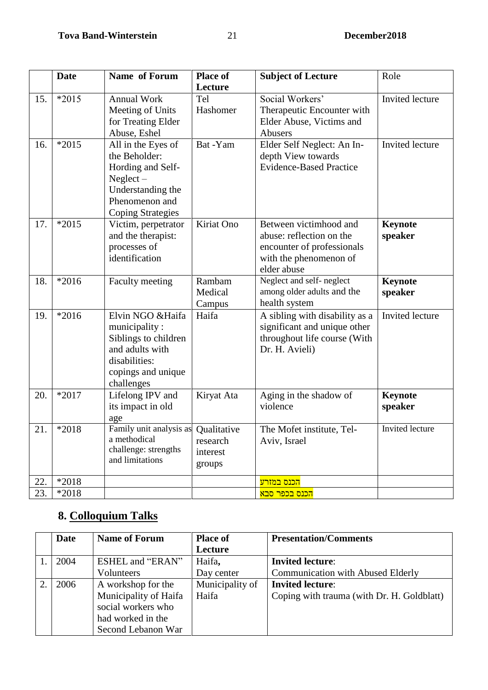|            | <b>Date</b> | Name of Forum                                                                                                                                             | <b>Place of</b>                | <b>Subject of Lecture</b>                                                                                                 | Role               |
|------------|-------------|-----------------------------------------------------------------------------------------------------------------------------------------------------------|--------------------------------|---------------------------------------------------------------------------------------------------------------------------|--------------------|
| 15.        | $*2015$     | <b>Annual Work</b><br>Meeting of Units<br>for Treating Elder                                                                                              | Lecture<br>Tel<br>Hashomer     | Social Workers'<br>Therapeutic Encounter with<br>Elder Abuse, Victims and                                                 | Invited lecture    |
| 16.        | $*2015$     | Abuse, Eshel<br>All in the Eyes of<br>the Beholder:<br>Hording and Self-<br>$Neglect-$<br>Understanding the<br>Phenomenon and<br><b>Coping Strategies</b> | Bat -Yam                       | Abusers<br>Elder Self Neglect: An In-<br>depth View towards<br><b>Evidence-Based Practice</b>                             | Invited lecture    |
| 17.        | $*2015$     | Victim, perpetrator<br>and the therapist:<br>processes of<br>identification                                                                               | Kiriat Ono                     | Between victimhood and<br>abuse: reflection on the<br>encounter of professionals<br>with the phenomenon of<br>elder abuse | Keynote<br>speaker |
| 18.        | $*2016$     | Faculty meeting                                                                                                                                           | Rambam<br>Medical<br>Campus    | Neglect and self-neglect<br>among older adults and the<br>health system                                                   | Keynote<br>speaker |
| 19.        | $*2016$     | Elvin NGO & Haifa<br>municipality:<br>Siblings to children<br>and adults with<br>disabilities:<br>copings and unique<br>challenges                        | Haifa                          | A sibling with disability as a<br>significant and unique other<br>throughout life course (With<br>Dr. H. Avieli)          | Invited lecture    |
| 20.        | *2017       | Lifelong IPV and<br>its impact in old<br>age                                                                                                              | Kiryat Ata                     | Aging in the shadow of<br>violence                                                                                        | Keynote<br>speaker |
| 21.        | *2018       | Family unit analysis as Qualitative<br>a methodical<br>challenge: strengths<br>and limitations                                                            | research<br>interest<br>groups | The Mofet institute, Tel-<br>Aviv, Israel                                                                                 | Invited lecture    |
| 22.<br>23. | *2018       |                                                                                                                                                           |                                | <mark>הכנס במזרע</mark>                                                                                                   |                    |
|            | *2018       |                                                                                                                                                           |                                | <mark>הכנס בכפר סבא</mark>                                                                                                |                    |

# **8. Colloquium Talks**

| Date | <b>Name of Forum</b>    | <b>Place of</b> | <b>Presentation/Comments</b>               |
|------|-------------------------|-----------------|--------------------------------------------|
|      |                         | Lecture         |                                            |
| 2004 | <b>ESHEL and "ERAN"</b> | Haifa,          | <b>Invited lecture:</b>                    |
|      | Volunteers              | Day center      | <b>Communication with Abused Elderly</b>   |
| 2006 | A workshop for the      | Municipality of | <b>Invited lecture:</b>                    |
|      | Municipality of Haifa   | Haifa           | Coping with trauma (with Dr. H. Goldblatt) |
|      | social workers who      |                 |                                            |
|      | had worked in the       |                 |                                            |
|      | Second Lebanon War      |                 |                                            |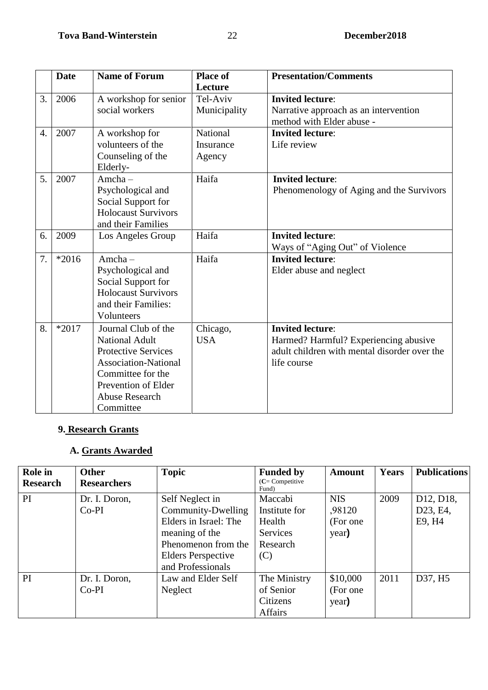|                  | <b>Date</b> | <b>Name of Forum</b>        | <b>Place of</b> | <b>Presentation/Comments</b>                 |
|------------------|-------------|-----------------------------|-----------------|----------------------------------------------|
|                  |             |                             | Lecture         |                                              |
| 3.               | 2006        | A workshop for senior       | Tel-Aviv        | <b>Invited lecture:</b>                      |
|                  |             | social workers              | Municipality    | Narrative approach as an intervention        |
|                  |             |                             |                 | method with Elder abuse -                    |
| $\overline{4}$ . | 2007        | A workshop for              | National        | <b>Invited lecture:</b>                      |
|                  |             | volunteers of the           | Insurance       | Life review                                  |
|                  |             | Counseling of the           | Agency          |                                              |
|                  |             | Elderly-                    |                 |                                              |
| 5.               | 2007        | $A$ mcha $-$                | Haifa           | <b>Invited lecture:</b>                      |
|                  |             | Psychological and           |                 | Phenomenology of Aging and the Survivors     |
|                  |             | Social Support for          |                 |                                              |
|                  |             | <b>Holocaust Survivors</b>  |                 |                                              |
|                  |             | and their Families          |                 |                                              |
| 6.               | 2009        | Los Angeles Group           | Haifa           | <b>Invited lecture:</b>                      |
|                  |             |                             |                 | Ways of "Aging Out" of Violence              |
| 7.               | $*2016$     | Amcha-                      | Haifa           | <b>Invited lecture:</b>                      |
|                  |             | Psychological and           |                 | Elder abuse and neglect                      |
|                  |             | Social Support for          |                 |                                              |
|                  |             | <b>Holocaust Survivors</b>  |                 |                                              |
|                  |             | and their Families:         |                 |                                              |
|                  |             | Volunteers                  |                 |                                              |
| 8.               | $*2017$     | Journal Club of the         | Chicago,        | <b>Invited lecture:</b>                      |
|                  |             | <b>National Adult</b>       | <b>USA</b>      | Harmed? Harmful? Experiencing abusive        |
|                  |             | <b>Protective Services</b>  |                 | adult children with mental disorder over the |
|                  |             | <b>Association-National</b> |                 | life course                                  |
|                  |             | Committee for the           |                 |                                              |
|                  |             | Prevention of Elder         |                 |                                              |
|                  |             | <b>Abuse Research</b>       |                 |                                              |
|                  |             | Committee                   |                 |                                              |

# **9. Research Grants**

### **A. Grants Awarded**

| Role in<br><b>Research</b> | <b>Other</b><br><b>Researchers</b> | <b>Topic</b>                                                                                                                                              | <b>Funded by</b><br>$(C =$ Competitive<br>Fund)                   | <b>Amount</b>                              | Years | <b>Publications</b>                                       |
|----------------------------|------------------------------------|-----------------------------------------------------------------------------------------------------------------------------------------------------------|-------------------------------------------------------------------|--------------------------------------------|-------|-----------------------------------------------------------|
| <b>PI</b>                  | Dr. I. Doron,<br>$Co-PI$           | Self Neglect in<br>Community-Dwelling<br>Elders in Israel: The<br>meaning of the<br>Phenomenon from the<br><b>Elders Perspective</b><br>and Professionals | Maccabi<br>Institute for<br>Health<br>Services<br>Research<br>(C) | <b>NIS</b><br>,98120<br>(For one)<br>year) | 2009  | D <sub>12</sub> , D <sub>18</sub> ,<br>D23, E4,<br>E9, H4 |
| PI                         | Dr. I. Doron,<br>$Co-PI$           | Law and Elder Self<br>Neglect                                                                                                                             | The Ministry<br>of Senior<br>Citizens<br>Affairs                  | \$10,000<br>(For one)<br>year)             | 2011  | D37, H5                                                   |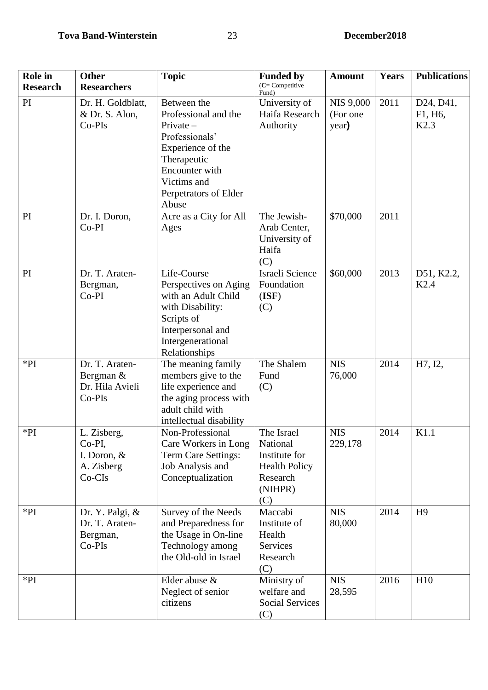| <b>Role</b> in  | <b>Other</b>                                                   | <b>Topic</b>                                                                                                                                                               | <b>Funded by</b>                                                                              | <b>Amount</b>                         | Years | <b>Publications</b>            |
|-----------------|----------------------------------------------------------------|----------------------------------------------------------------------------------------------------------------------------------------------------------------------------|-----------------------------------------------------------------------------------------------|---------------------------------------|-------|--------------------------------|
| <b>Research</b> | <b>Researchers</b>                                             |                                                                                                                                                                            | $(C =$ Competitive<br>Fund)                                                                   |                                       |       |                                |
| PI              | Dr. H. Goldblatt,<br>& Dr. S. Alon,<br>Co-PIs                  | Between the<br>Professional and the<br>$Private-$<br>Professionals'<br>Experience of the<br>Therapeutic<br>Encounter with<br>Victims and<br>Perpetrators of Elder<br>Abuse | University of<br>Haifa Research<br>Authority                                                  | <b>NIS 9,000</b><br>(For one<br>year) | 2011  | D24, D41,<br>F1, H6,<br>K2.3   |
| PI              | Dr. I. Doron,<br>$Co-PI$                                       | Acre as a City for All<br>Ages                                                                                                                                             | The Jewish-<br>Arab Center,<br>University of<br>Haifa<br>(C)                                  | \$70,000                              | 2011  |                                |
| PI              | Dr. T. Araten-<br>Bergman,<br>$Co-PI$                          | Life-Course<br>Perspectives on Aging<br>with an Adult Child<br>with Disability:<br>Scripts of<br>Interpersonal and<br>Intergenerational<br>Relationships                   | Israeli Science<br>Foundation<br>(ISF)<br>(C)                                                 | \$60,000                              | 2013  | D51, K2.2,<br>K <sub>2.4</sub> |
| $*PI$           | Dr. T. Araten-<br>Bergman &<br>Dr. Hila Avieli<br>Co-PIs       | The meaning family<br>members give to the<br>life experience and<br>the aging process with<br>adult child with<br>intellectual disability                                  | The Shalem<br>Fund<br>(C)                                                                     | <b>NIS</b><br>76,000                  | 2014  | H7, I2,                        |
| $*PI$           | L. Zisberg,<br>Co-PI,<br>I. Doron, &<br>A. Zisberg<br>$Co-CIs$ | Non-Professional<br>Care Workers in Long<br>Term Care Settings:<br>Job Analysis and<br>Conceptualization                                                                   | The Israel<br>National<br>Institute for<br><b>Health Policy</b><br>Research<br>(NIHPR)<br>(C) | <b>NIS</b><br>229,178                 | 2014  | K1.1                           |
| $*PI$           | Dr. Y. Palgi, &<br>Dr. T. Araten-<br>Bergman,<br>Co-PIs        | Survey of the Needs<br>and Preparedness for<br>the Usage in On-line<br>Technology among<br>the Old-old in Israel                                                           | Maccabi<br>Institute of<br>Health<br>Services<br>Research<br>(C)                              | <b>NIS</b><br>80,000                  | 2014  | H <sub>9</sub>                 |
| $*PI$           |                                                                | Elder abuse &<br>Neglect of senior<br>citizens                                                                                                                             | Ministry of<br>welfare and<br><b>Social Services</b><br>(C)                                   | <b>NIS</b><br>28,595                  | 2016  | H10                            |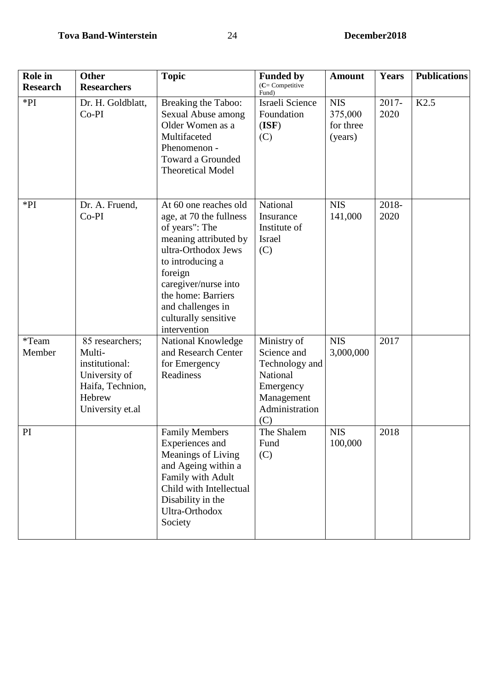| <b>Role</b> in<br><b>Research</b> | <b>Other</b><br><b>Researchers</b>                                                                             | <b>Topic</b>                                                                                                                                                                                                                                                 | <b>Funded by</b><br>$(C =$ Competitive                                                                       | <b>Amount</b>                                 | <b>Years</b>  | <b>Publications</b> |
|-----------------------------------|----------------------------------------------------------------------------------------------------------------|--------------------------------------------------------------------------------------------------------------------------------------------------------------------------------------------------------------------------------------------------------------|--------------------------------------------------------------------------------------------------------------|-----------------------------------------------|---------------|---------------------|
| $*PI$                             | Dr. H. Goldblatt,<br>$Co-PI$                                                                                   | Breaking the Taboo:<br>Sexual Abuse among<br>Older Women as a<br>Multifaceted<br>Phenomenon -<br><b>Toward a Grounded</b><br><b>Theoretical Model</b>                                                                                                        | Fund)<br>Israeli Science<br>Foundation<br>(ISF)<br>(C)                                                       | <b>NIS</b><br>375,000<br>for three<br>(years) | 2017-<br>2020 | K2.5                |
| $*PI$                             | Dr. A. Fruend,<br>$Co-PI$                                                                                      | At 60 one reaches old<br>age, at 70 the fullness<br>of years": The<br>meaning attributed by<br>ultra-Orthodox Jews<br>to introducing a<br>foreign<br>caregiver/nurse into<br>the home: Barriers<br>and challenges in<br>culturally sensitive<br>intervention | National<br>Insurance<br>Institute of<br><b>Israel</b><br>(C)                                                | <b>NIS</b><br>141,000                         | 2018-<br>2020 |                     |
| *Team<br>Member                   | 85 researchers;<br>Multi-<br>institutional:<br>University of<br>Haifa, Technion,<br>Hebrew<br>University et.al | National Knowledge<br>and Research Center<br>for Emergency<br>Readiness                                                                                                                                                                                      | Ministry of<br>Science and<br>Technology and<br>National<br>Emergency<br>Management<br>Administration<br>(C) | <b>NIS</b><br>3,000,000                       | 2017          |                     |
| PI                                |                                                                                                                | <b>Family Members</b><br>Experiences and<br>Meanings of Living<br>and Ageing within a<br>Family with Adult<br>Child with Intellectual<br>Disability in the<br>Ultra-Orthodox<br>Society                                                                      | The Shalem<br>Fund<br>(C)                                                                                    | <b>NIS</b><br>100,000                         | 2018          |                     |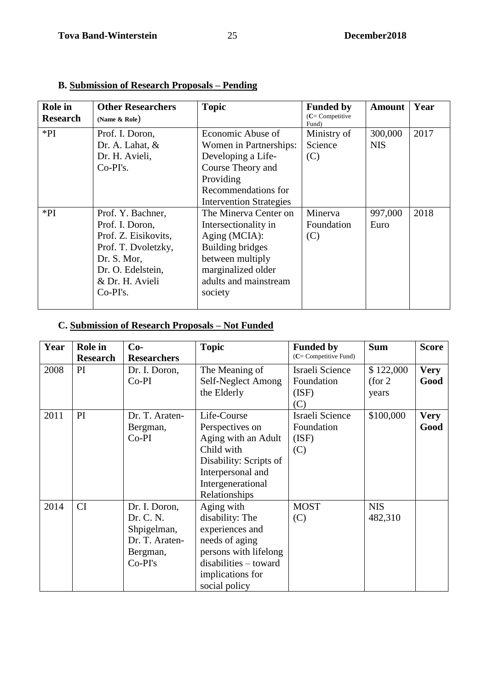| <b>Role</b> in<br><b>Research</b> | <b>Other Researchers</b><br>(Name & Role)                                                                                                                | <b>Topic</b>                                                                                                                                                            | <b>Funded by</b><br>$(C =$ Competitive<br>Fund) | <b>Amount</b>         | Year |
|-----------------------------------|----------------------------------------------------------------------------------------------------------------------------------------------------------|-------------------------------------------------------------------------------------------------------------------------------------------------------------------------|-------------------------------------------------|-----------------------|------|
| $*PI$                             | Prof. I. Doron,<br>Dr. A. Lahat, &<br>Dr. H. Avieli,<br>$Co-PI's.$                                                                                       | Economic Abuse of<br>Women in Partnerships:<br>Developing a Life-<br>Course Theory and<br>Providing<br>Recommendations for<br><b>Intervention Strategies</b>            | Ministry of<br>Science<br>(C)                   | 300,000<br><b>NIS</b> | 2017 |
| $*PI$                             | Prof. Y. Bachner,<br>Prof. I. Doron,<br>Prof. Z. Eisikovits,<br>Prof. T. Dvoletzky,<br>Dr. S. Mor,<br>Dr. O. Edelstein,<br>& Dr. H. Avieli<br>$Co-PI's.$ | The Minerva Center on<br>Intersectionality in<br>Aging (MCIA):<br><b>Building bridges</b><br>between multiply<br>marginalized older<br>adults and mainstream<br>society | Minerva<br>Foundation<br>(C)                    | 997,000<br>Euro       | 2018 |

# **B. Submission of Research Proposals – Pending**

# **C. Submission of Research Proposals – Not Funded**

| Year | <b>Role</b> in        | $Co-$                                                                                | <b>Topic</b>                                                                                                                                                | <b>Funded by</b><br>(C= Competitive Fund)            | <b>Sum</b>                    | <b>Score</b>        |
|------|-----------------------|--------------------------------------------------------------------------------------|-------------------------------------------------------------------------------------------------------------------------------------------------------------|------------------------------------------------------|-------------------------------|---------------------|
| 2008 | <b>Research</b><br>PI | <b>Researchers</b><br>Dr. I. Doron,<br>$Co-PI$                                       | The Meaning of<br>Self-Neglect Among<br>the Elderly                                                                                                         | Israeli Science<br>Foundation<br>(ISF)               | \$122,000<br>(for 2)<br>years | <b>Very</b><br>Good |
| 2011 | PI                    | Dr. T. Araten-<br>Bergman,<br>$Co-PI$                                                | Life-Course<br>Perspectives on<br>Aging with an Adult<br>Child with<br>Disability: Scripts of<br>Interpersonal and<br>Intergenerational<br>Relationships    | (C)<br>Israeli Science<br>Foundation<br>(ISF)<br>(C) | \$100,000                     | <b>Very</b><br>Good |
| 2014 | CI                    | Dr. I. Doron,<br>Dr. C. N.<br>Shpigelman,<br>Dr. T. Araten-<br>Bergman,<br>$Co-PI's$ | Aging with<br>disability: The<br>experiences and<br>needs of aging<br>persons with lifelong<br>$disabilities - toward$<br>implications for<br>social policy | <b>MOST</b><br>(C)                                   | <b>NIS</b><br>482,310         |                     |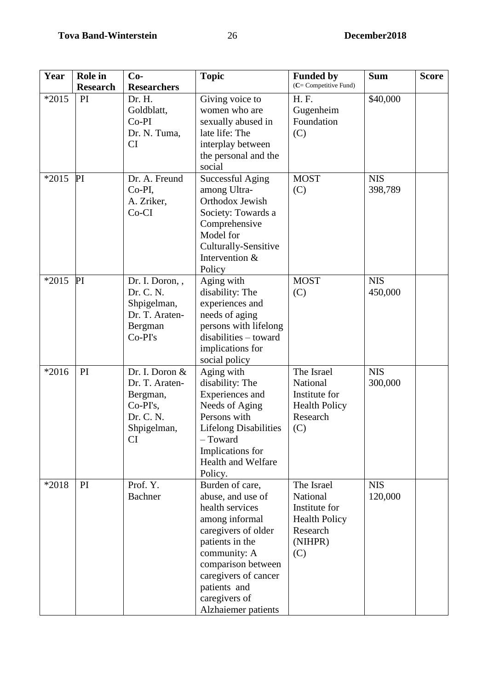| Year    | Role in         | $Co-$                                                                                             | <b>Topic</b>                                                                                                                                                                                                                              | <b>Funded by</b>                                                                              | <b>Sum</b>            | <b>Score</b> |
|---------|-----------------|---------------------------------------------------------------------------------------------------|-------------------------------------------------------------------------------------------------------------------------------------------------------------------------------------------------------------------------------------------|-----------------------------------------------------------------------------------------------|-----------------------|--------------|
|         | <b>Research</b> | <b>Researchers</b>                                                                                |                                                                                                                                                                                                                                           | (C= Competitive Fund)                                                                         |                       |              |
| $*2015$ | PI              | Dr. H.<br>Goldblatt,<br>$Co-PI$<br>Dr. N. Tuma,<br>CI                                             | Giving voice to<br>women who are<br>sexually abused in<br>late life: The<br>interplay between<br>the personal and the<br>social                                                                                                           | H. F.<br>Gugenheim<br>Foundation<br>(C)                                                       | \$40,000              |              |
| $*2015$ | PI              | Dr. A. Freund<br>Co-PI,<br>A. Zriker,<br>$Co-CI$                                                  | <b>Successful Aging</b><br>among Ultra-<br>Orthodox Jewish<br>Society: Towards a<br>Comprehensive<br>Model for<br>Culturally-Sensitive<br>Intervention &<br>Policy                                                                        | <b>MOST</b><br>(C)                                                                            | <b>NIS</b><br>398,789 |              |
| $*2015$ | PI              | Dr. I. Doron, ,<br>Dr. C. N.<br>Shpigelman,<br>Dr. T. Araten-<br>Bergman<br>Co-PI's               | Aging with<br>disability: The<br>experiences and<br>needs of aging<br>persons with lifelong<br>$disabilities - toward$<br>implications for<br>social policy                                                                               | <b>MOST</b><br>(C)                                                                            | <b>NIS</b><br>450,000 |              |
| $*2016$ | PI              | Dr. I. Doron &<br>Dr. T. Araten-<br>Bergman,<br>Co-PI's,<br>Dr. C. N.<br>Shpigelman,<br><b>CI</b> | Aging with<br>disability: The<br>Experiences and<br>Needs of Aging<br>Persons with<br><b>Lifelong Disabilities</b><br>- Toward<br>Implications for<br><b>Health and Welfare</b><br>Policy.                                                | The Israel<br>National<br>Institute for<br><b>Health Policy</b><br>Research<br>(C)            | <b>NIS</b><br>300,000 |              |
| $*2018$ | PI              | Prof. Y.<br>Bachner                                                                               | Burden of care,<br>abuse, and use of<br>health services<br>among informal<br>caregivers of older<br>patients in the<br>community: A<br>comparison between<br>caregivers of cancer<br>patients and<br>caregivers of<br>Alzhaiemer patients | The Israel<br>National<br>Institute for<br><b>Health Policy</b><br>Research<br>(NIHPR)<br>(C) | <b>NIS</b><br>120,000 |              |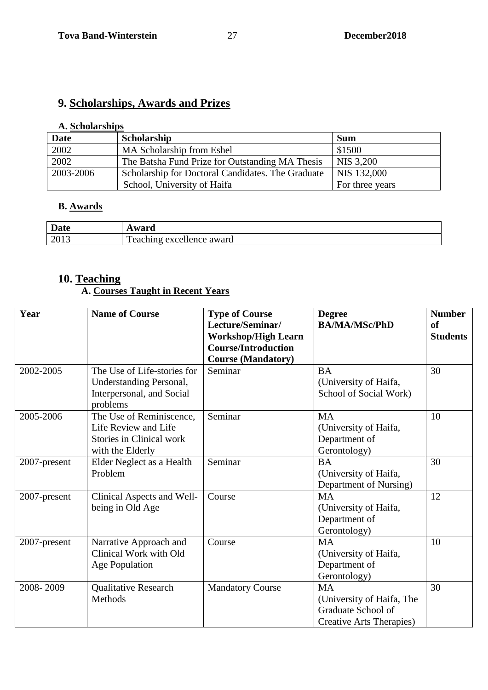# **9. Scholarships, Awards and Prizes**

### **A. Scholarships**

| <b>Date</b> | Scholarship                                       | <b>Sum</b>      |
|-------------|---------------------------------------------------|-----------------|
| 2002        | MA Scholarship from Eshel                         | \$1500          |
| 2002        | The Batsha Fund Prize for Outstanding MA Thesis   | NIS 3,200       |
| 2003-2006   | Scholarship for Doctoral Candidates. The Graduate | NIS 132,000     |
|             | School, University of Haifa                       | For three years |

### **B. Awards**

| Date | ward                                       |
|------|--------------------------------------------|
| 2013 | $\mathbf{m}$<br>l'eaching excellence award |

# **10. Teaching**

### **A. Courses Taught in Recent Years**

| Year         | <b>Name of Course</b>                                                                                   | <b>Type of Course</b><br>Lecture/Seminar/<br><b>Workshop/High Learn</b><br><b>Course/Introduction</b><br><b>Course (Mandatory)</b> | <b>Degree</b><br><b>BA/MA/MSc/PhD</b>                                                    | <b>Number</b><br><sub>of</sub><br><b>Students</b> |
|--------------|---------------------------------------------------------------------------------------------------------|------------------------------------------------------------------------------------------------------------------------------------|------------------------------------------------------------------------------------------|---------------------------------------------------|
| 2002-2005    | The Use of Life-stories for<br><b>Understanding Personal,</b><br>Interpersonal, and Social<br>problems  | Seminar                                                                                                                            | <b>BA</b><br>(University of Haifa,<br>School of Social Work)                             | 30                                                |
| 2005-2006    | The Use of Reminiscence,<br>Life Review and Life<br><b>Stories in Clinical work</b><br>with the Elderly | Seminar                                                                                                                            | <b>MA</b><br>(University of Haifa,<br>Department of<br>Gerontology)                      | 10                                                |
| 2007-present | Elder Neglect as a Health<br>Problem                                                                    | Seminar                                                                                                                            | <b>BA</b><br>(University of Haifa,<br>Department of Nursing)                             | 30                                                |
| 2007-present | Clinical Aspects and Well-<br>being in Old Age                                                          | Course                                                                                                                             | <b>MA</b><br>(University of Haifa,<br>Department of<br>Gerontology)                      | 12                                                |
| 2007-present | Narrative Approach and<br>Clinical Work with Old<br>Age Population                                      | Course                                                                                                                             | <b>MA</b><br>(University of Haifa,<br>Department of<br>Gerontology)                      | 10                                                |
| 2008-2009    | <b>Qualitative Research</b><br>Methods                                                                  | <b>Mandatory Course</b>                                                                                                            | <b>MA</b><br>(University of Haifa, The<br>Graduate School of<br>Creative Arts Therapies) | 30                                                |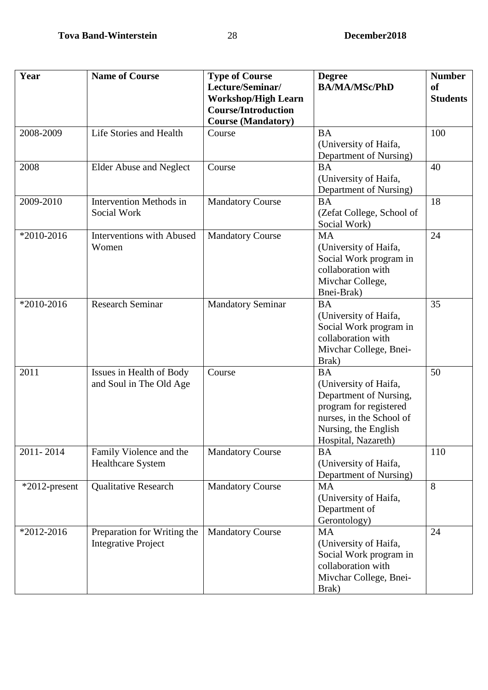| Year             | <b>Name of Course</b>                                     | <b>Type of Course</b><br>Lecture/Seminar/<br><b>Workshop/High Learn</b> | <b>Degree</b><br><b>BA/MA/MSc/PhD</b>                                                                                                                             | <b>Number</b><br><b>of</b><br><b>Students</b> |
|------------------|-----------------------------------------------------------|-------------------------------------------------------------------------|-------------------------------------------------------------------------------------------------------------------------------------------------------------------|-----------------------------------------------|
|                  |                                                           | <b>Course/Introduction</b><br><b>Course (Mandatory)</b>                 |                                                                                                                                                                   |                                               |
| 2008-2009        | Life Stories and Health                                   | Course                                                                  | <b>BA</b><br>(University of Haifa,<br>Department of Nursing)                                                                                                      | 100                                           |
| 2008             | <b>Elder Abuse and Neglect</b>                            | Course                                                                  | <b>BA</b><br>(University of Haifa,<br>Department of Nursing)                                                                                                      | 40                                            |
| 2009-2010        | <b>Intervention Methods in</b><br>Social Work             | <b>Mandatory Course</b>                                                 | <b>BA</b><br>(Zefat College, School of<br>Social Work)                                                                                                            | 18                                            |
| *2010-2016       | <b>Interventions with Abused</b><br>Women                 | <b>Mandatory Course</b>                                                 | <b>MA</b><br>(University of Haifa,<br>Social Work program in<br>collaboration with<br>Mivchar College,<br>Bnei-Brak)                                              | 24                                            |
| *2010-2016       | <b>Research Seminar</b>                                   | <b>Mandatory Seminar</b>                                                | <b>BA</b><br>(University of Haifa,<br>Social Work program in<br>collaboration with<br>Mivchar College, Bnei-<br>Brak)                                             | 35                                            |
| 2011             | Issues in Health of Body<br>and Soul in The Old Age       | Course                                                                  | <b>BA</b><br>(University of Haifa,<br>Department of Nursing,<br>program for registered<br>nurses, in the School of<br>Nursing, the English<br>Hospital, Nazareth) | 50                                            |
| 2011-2014        | Family Violence and the<br><b>Healthcare System</b>       | <b>Mandatory Course</b>                                                 | <b>BA</b><br>(University of Haifa,<br>Department of Nursing)                                                                                                      | 110                                           |
| $*2012$ -present | <b>Qualitative Research</b>                               | <b>Mandatory Course</b>                                                 | <b>MA</b><br>(University of Haifa,<br>Department of<br>Gerontology)                                                                                               | 8                                             |
| *2012-2016       | Preparation for Writing the<br><b>Integrative Project</b> | <b>Mandatory Course</b>                                                 | <b>MA</b><br>(University of Haifa,<br>Social Work program in<br>collaboration with<br>Mivchar College, Bnei-<br>Brak)                                             | 24                                            |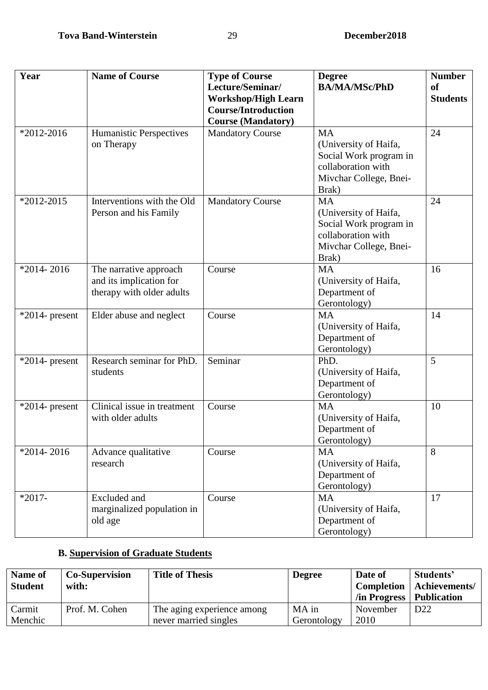| Year              | <b>Name of Course</b>                                                          | <b>Type of Course</b><br>Lecture/Seminar/<br><b>Workshop/High Learn</b><br><b>Course/Introduction</b><br><b>Course (Mandatory)</b> | <b>Degree</b><br><b>BA/MA/MSc/PhD</b>                                                                                 | <b>Number</b><br><b>of</b><br><b>Students</b> |
|-------------------|--------------------------------------------------------------------------------|------------------------------------------------------------------------------------------------------------------------------------|-----------------------------------------------------------------------------------------------------------------------|-----------------------------------------------|
| $*2012 - 2016$    | Humanistic Perspectives<br>on Therapy                                          | <b>Mandatory Course</b>                                                                                                            | <b>MA</b><br>(University of Haifa,<br>Social Work program in<br>collaboration with<br>Mivchar College, Bnei-<br>Brak) | 24                                            |
| *2012-2015        | Interventions with the Old<br>Person and his Family                            | <b>Mandatory Course</b>                                                                                                            | <b>MA</b><br>(University of Haifa,<br>Social Work program in<br>collaboration with<br>Mivchar College, Bnei-<br>Brak) | 24                                            |
| $*2014 - 2016$    | The narrative approach<br>and its implication for<br>therapy with older adults | Course                                                                                                                             | <b>MA</b><br>(University of Haifa,<br>Department of<br>Gerontology)                                                   | 16                                            |
| $*2014$ - present | Elder abuse and neglect                                                        | Course                                                                                                                             | <b>MA</b><br>(University of Haifa,<br>Department of<br>Gerontology)                                                   | 14                                            |
| $*2014$ - present | Research seminar for PhD.<br>students                                          | Seminar                                                                                                                            | PhD.<br>(University of Haifa,<br>Department of<br>Gerontology)                                                        | 5                                             |
| $*2014$ - present | Clinical issue in treatment<br>with older adults                               | Course                                                                                                                             | <b>MA</b><br>(University of Haifa,<br>Department of<br>Gerontology)                                                   | 10                                            |
| $*2014 - 2016$    | Advance qualitative<br>research                                                | Course                                                                                                                             | <b>MA</b><br>(University of Haifa,<br>Department of<br>Gerontology)                                                   | 8                                             |
| $*2017-$          | <b>Excluded</b> and<br>marginalized population in<br>old age                   | Course                                                                                                                             | <b>MA</b><br>(University of Haifa,<br>Department of<br>Gerontology)                                                   | 17                                            |

# **B. Supervision of Graduate Students**

 $\overline{\phantom{a}}$ 

| Name of<br><b>Student</b> | <b>Co-Supervision</b><br>with: | <b>Title of Thesis</b>                              | <b>Degree</b>        | Date of<br>In Progress   Publication | Students'<br><b>Completion</b>   Achievements/ |
|---------------------------|--------------------------------|-----------------------------------------------------|----------------------|--------------------------------------|------------------------------------------------|
| Carmit<br>Menchic         | Prof. M. Cohen                 | The aging experience among<br>never married singles | MA in<br>Gerontology | November<br>2010                     | D <sub>22</sub>                                |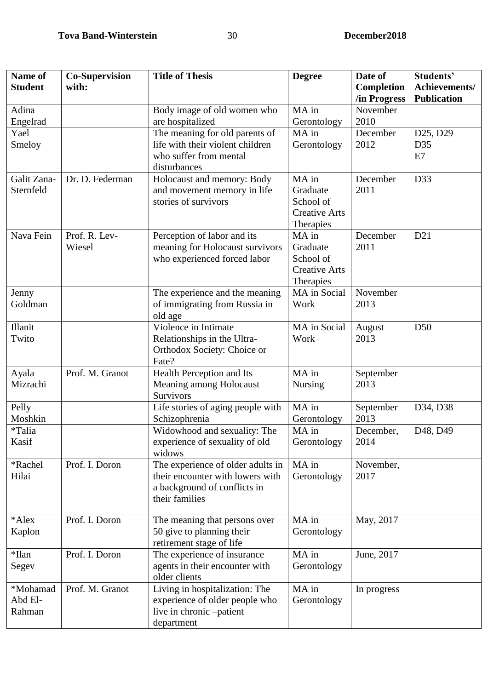| Name of        | <b>Co-Supervision</b>   | <b>Title of Thesis</b>                                          | <b>Degree</b>        | Date of          | Students'          |
|----------------|-------------------------|-----------------------------------------------------------------|----------------------|------------------|--------------------|
| <b>Student</b> | with:                   |                                                                 |                      | Completion       | Achievements/      |
|                |                         |                                                                 |                      | /in Progress     | <b>Publication</b> |
| Adina          |                         | Body image of old women who                                     | MA in                | November         |                    |
| Engelrad       |                         | are hospitalized                                                | Gerontology          | 2010             |                    |
| Yael           |                         | The meaning for old parents of                                  | MA in                | December         | D25, D29           |
| Smeloy         |                         | life with their violent children                                | Gerontology          | 2012             | D35                |
|                |                         | who suffer from mental                                          |                      |                  | E7                 |
|                |                         | disturbances                                                    |                      |                  |                    |
| Galit Zana-    | Dr. D. Federman         | Holocaust and memory: Body                                      | MA in                | December         | D33                |
| Sternfeld      |                         | and movement memory in life                                     | Graduate             | 2011             |                    |
|                |                         | stories of survivors                                            | School of            |                  |                    |
|                |                         |                                                                 | <b>Creative Arts</b> |                  |                    |
| Nava Fein      |                         |                                                                 | Therapies            |                  |                    |
|                | Prof. R. Lev-<br>Wiesel | Perception of labor and its                                     | MA in<br>Graduate    | December<br>2011 | D21                |
|                |                         | meaning for Holocaust survivors<br>who experienced forced labor | School of            |                  |                    |
|                |                         |                                                                 | <b>Creative Arts</b> |                  |                    |
|                |                         |                                                                 | Therapies            |                  |                    |
| Jenny          |                         | The experience and the meaning                                  | MA in Social         | November         |                    |
| Goldman        |                         | of immigrating from Russia in                                   | Work                 | 2013             |                    |
|                |                         | old age                                                         |                      |                  |                    |
| Illanit        |                         | Violence in Intimate                                            | MA in Social         | August           | D <sub>50</sub>    |
| Twito          |                         | Relationships in the Ultra-                                     | Work                 | 2013             |                    |
|                |                         | Orthodox Society: Choice or                                     |                      |                  |                    |
|                |                         | Fate?                                                           |                      |                  |                    |
| Ayala          | Prof. M. Granot         | Health Perception and Its                                       | MA in                | September        |                    |
| Mizrachi       |                         | Meaning among Holocaust                                         | <b>Nursing</b>       | 2013             |                    |
|                |                         | Survivors                                                       |                      |                  |                    |
| Pelly          |                         | Life stories of aging people with                               | MA in                | September        | D34, D38           |
| Moshkin        |                         | Schizophrenia                                                   | Gerontology          | 2013             |                    |
| *Talia         |                         | Widowhood and sexuality: The                                    | MA in                | December,        | D48, D49           |
| Kasif          |                         | experience of sexuality of old                                  | Gerontology          | 2014             |                    |
|                |                         | widows                                                          |                      |                  |                    |
| *Rachel        | Prof. I. Doron          | The experience of older adults in                               | MA in                | November,        |                    |
| Hilai          |                         | their encounter with lowers with                                | Gerontology          | 2017             |                    |
|                |                         | a background of conflicts in                                    |                      |                  |                    |
|                |                         | their families                                                  |                      |                  |                    |
| *Alex          | Prof. I. Doron          | The meaning that persons over                                   | MA in                | May, 2017        |                    |
| Kaplon         |                         | 50 give to planning their                                       | Gerontology          |                  |                    |
|                |                         | retirement stage of life                                        |                      |                  |                    |
| *Ilan          | Prof. I. Doron          | The experience of insurance                                     | MA in                | June, 2017       |                    |
| Segev          |                         | agents in their encounter with                                  | Gerontology          |                  |                    |
|                |                         | older clients                                                   |                      |                  |                    |
| *Mohamad       | Prof. M. Granot         | Living in hospitalization: The                                  | MA in                | In progress      |                    |
| Abd El-        |                         | experience of older people who                                  | Gerontology          |                  |                    |
| Rahman         |                         | live in chronic -patient                                        |                      |                  |                    |
|                |                         | department                                                      |                      |                  |                    |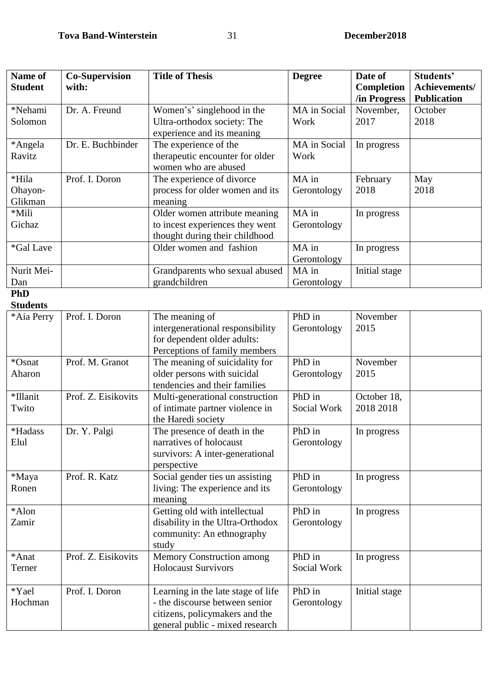| Name of            | <b>Co-Supervision</b> | <b>Title of Thesis</b>                                       | <b>Degree</b> | Date of                           | Students'                           |
|--------------------|-----------------------|--------------------------------------------------------------|---------------|-----------------------------------|-------------------------------------|
| <b>Student</b>     | with:                 |                                                              |               | <b>Completion</b><br>/in Progress | Achievements/<br><b>Publication</b> |
| *Nehami            | Dr. A. Freund         | Women's' singlehood in the                                   | MA in Social  | November,                         | October                             |
| Solomon            |                       | Ultra-orthodox society: The                                  | Work          | 2017                              | 2018                                |
|                    |                       | experience and its meaning                                   |               |                                   |                                     |
| *Angela            | Dr. E. Buchbinder     | The experience of the                                        | MA in Social  | In progress                       |                                     |
| Ravitz             |                       | therapeutic encounter for older                              | Work          |                                   |                                     |
|                    |                       | women who are abused                                         |               |                                   |                                     |
| *Hila              | Prof. I. Doron        | The experience of divorce                                    | MA in         | February<br>2018                  | May<br>2018                         |
| Ohayon-<br>Glikman |                       | process for older women and its<br>meaning                   | Gerontology   |                                   |                                     |
| *Mili              |                       | Older women attribute meaning                                | MA in         | In progress                       |                                     |
| Gichaz             |                       | to incest experiences they went                              | Gerontology   |                                   |                                     |
|                    |                       | thought during their childhood                               |               |                                   |                                     |
| *Gal Lave          |                       | Older women and fashion                                      | MA in         | In progress                       |                                     |
|                    |                       |                                                              | Gerontology   |                                   |                                     |
| Nurit Mei-         |                       | Grandparents who sexual abused                               | MA in         | Initial stage                     |                                     |
| Dan                |                       | grandchildren                                                | Gerontology   |                                   |                                     |
| <b>PhD</b>         |                       |                                                              |               |                                   |                                     |
| <b>Students</b>    |                       |                                                              |               |                                   |                                     |
| *Aia Perry         | Prof. I. Doron        | The meaning of                                               | PhD in        | November                          |                                     |
|                    |                       | intergenerational responsibility                             | Gerontology   | 2015                              |                                     |
|                    |                       | for dependent older adults:<br>Perceptions of family members |               |                                   |                                     |
| *Osnat             | Prof. M. Granot       | The meaning of suicidality for                               | PhD in        | November                          |                                     |
| Aharon             |                       | older persons with suicidal                                  | Gerontology   | 2015                              |                                     |
|                    |                       | tendencies and their families                                |               |                                   |                                     |
| *Illanit           | Prof. Z. Eisikovits   | Multi-generational construction                              | PhD in        | October 18,                       |                                     |
| Twito              |                       | of intimate partner violence in                              | Social Work   | 2018 2018                         |                                     |
|                    |                       | the Haredi society                                           |               |                                   |                                     |
| *Hadass            | Dr. Y. Palgi          | The presence of death in the                                 | PhD in        | In progress                       |                                     |
| Elul               |                       | narratives of holocaust                                      | Gerontology   |                                   |                                     |
|                    |                       | survivors: A inter-generational                              |               |                                   |                                     |
|                    |                       | perspective                                                  |               |                                   |                                     |
| *Maya              | Prof. R. Katz         | Social gender ties un assisting                              | PhD in        | In progress                       |                                     |
| Ronen              |                       | living: The experience and its                               | Gerontology   |                                   |                                     |
| *Alon              |                       | meaning<br>Getting old with intellectual                     | PhD in        | In progress                       |                                     |
| Zamir              |                       | disability in the Ultra-Orthodox                             | Gerontology   |                                   |                                     |
|                    |                       | community: An ethnography                                    |               |                                   |                                     |
|                    |                       | study                                                        |               |                                   |                                     |
| *Anat              | Prof. Z. Eisikovits   | <b>Memory Construction among</b>                             | PhD in        | In progress                       |                                     |
| Terner             |                       | <b>Holocaust Survivors</b>                                   | Social Work   |                                   |                                     |
|                    |                       |                                                              |               |                                   |                                     |
| *Yael              | Prof. I. Doron        | Learning in the late stage of life                           | PhD in        | Initial stage                     |                                     |
| Hochman            |                       | - the discourse between senior                               | Gerontology   |                                   |                                     |
|                    |                       | citizens, policymakers and the                               |               |                                   |                                     |
|                    |                       | general public - mixed research                              |               |                                   |                                     |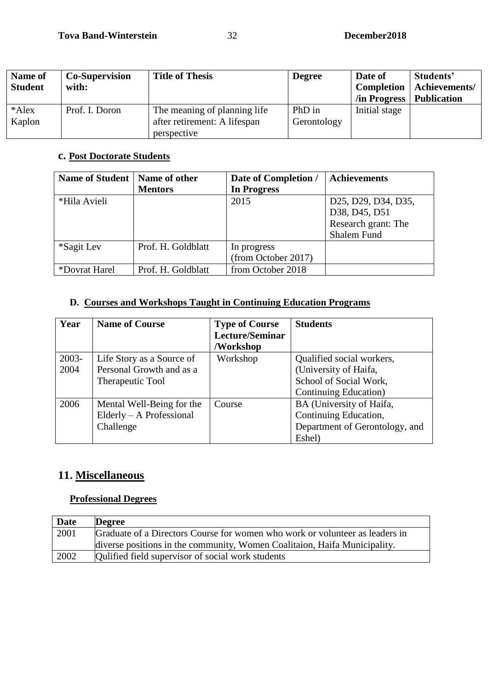| <b>Name of</b><br><b>Student</b> | <b>Co-Supervision</b><br>with: | <b>Title of Thesis</b>                                                      | <b>Degree</b>         | Date of<br><b>Completion</b><br>/in Progress | Students'<br>Achievements/<br><b>Publication</b> |
|----------------------------------|--------------------------------|-----------------------------------------------------------------------------|-----------------------|----------------------------------------------|--------------------------------------------------|
| *Alex<br>Kaplon                  | Prof. I. Doron                 | The meaning of planning life<br>after retirement: A lifespan<br>perspective | PhD in<br>Gerontology | Initial stage                                |                                                  |

#### **c. Post Doctorate Students**

| Name of Student   Name of other |                    | Date of Completion / | <b>Achievements</b> |
|---------------------------------|--------------------|----------------------|---------------------|
|                                 | <b>Mentors</b>     | <b>In Progress</b>   |                     |
| *Hila Avieli                    |                    | 2015                 | D25, D29, D34, D35, |
|                                 |                    |                      | D38, D45, D51       |
|                                 |                    |                      | Research grant: The |
|                                 |                    |                      | Shalem Fund         |
| *Sagit Lev                      | Prof. H. Goldblatt | In progress          |                     |
|                                 |                    | (from October 2017)  |                     |
| *Dovrat Harel                   | Prof. H. Goldblatt | from October 2018    |                     |

### **D. Courses and Workshops Taught in Continuing Education Programs**

| Year     | <b>Name of Course</b>      | <b>Type of Course</b> | <b>Students</b>                |
|----------|----------------------------|-----------------------|--------------------------------|
|          |                            | Lecture/Seminar       |                                |
|          |                            | /Workshop             |                                |
| $2003 -$ | Life Story as a Source of  | Workshop              | Qualified social workers,      |
| 2004     | Personal Growth and as a   |                       | (University of Haifa,          |
|          | Therapeutic Tool           |                       | School of Social Work,         |
|          |                            |                       | Continuing Education)          |
| 2006     | Mental Well-Being for the  | Course                | BA (University of Haifa,       |
|          | $Elderly - A Professional$ |                       | Continuing Education,          |
|          | Challenge                  |                       | Department of Gerontology, and |
|          |                            |                       | Eshel)                         |

# **11. Miscellaneous**

### **Professional Degrees**

| <b>Date</b> | <b>Degree</b>                                                                |
|-------------|------------------------------------------------------------------------------|
| 2001        | Graduate of a Directors Course for women who work or volunteer as leaders in |
|             | diverse positions in the community, Women Coalitaion, Haifa Municipality.    |
| 2002        | Qulified field supervisor of social work students                            |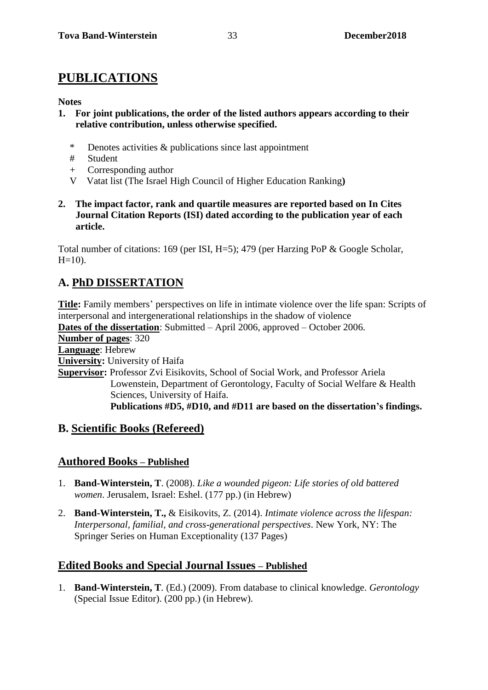# **PUBLICATIONS**

#### **Notes**

- **1. For joint publications, the order of the listed authors appears according to their relative contribution, unless otherwise specified.** 
	- \* Denotes activities & publications since last appointment
	- # Student
	- + Corresponding author
	- V Vatat list (The Israel High Council of Higher Education Ranking**)**
- **2. The impact factor, rank and quartile measures are reported based on In Cites Journal Citation Reports (ISI) dated according to the publication year of each article.**

Total number of citations: 169 (per ISI, H=5); 479 (per Harzing PoP & Google Scholar,  $H=10$ ).

# **A. PhD DISSERTATION**

**Title:** Family members' perspectives on life in intimate violence over the life span: Scripts of interpersonal and intergenerational relationships in the shadow of violence **Dates of the dissertation**: Submitted – April 2006, approved – October 2006. **Number of pages**: 320 **Language**: Hebrew **University:** University of Haifa **Supervisor:** Professor Zvi Eisikovits, School of Social Work, and Professor Ariela Lowenstein, Department of Gerontology, Faculty of Social Welfare & Health Sciences, University of Haifa. **Publications #D5, #D10, and #D11 are based on the dissertation's findings.** 

### **B. Scientific Books (Refereed)**

### **Authored Books – Published**

- 1. **Band-Winterstein, T**. (2008). *Like a wounded pigeon: Life stories of old battered women*. Jerusalem, Israel: Eshel. (177 pp.) (in Hebrew)
- 2. **Band-Winterstein, T.,** & Eisikovits, Z. (2014). *Intimate violence across the lifespan: Interpersonal, familial, and cross-generational perspectives*. New York, NY: The Springer Series on Human Exceptionality (137 Pages)

### **Edited Books and Special Journal Issues – Published**

1. **Band-Winterstein, T***.* (Ed.) (2009). From database to clinical knowledge. *Gerontology*  (Special Issue Editor). (200 pp.) (in Hebrew).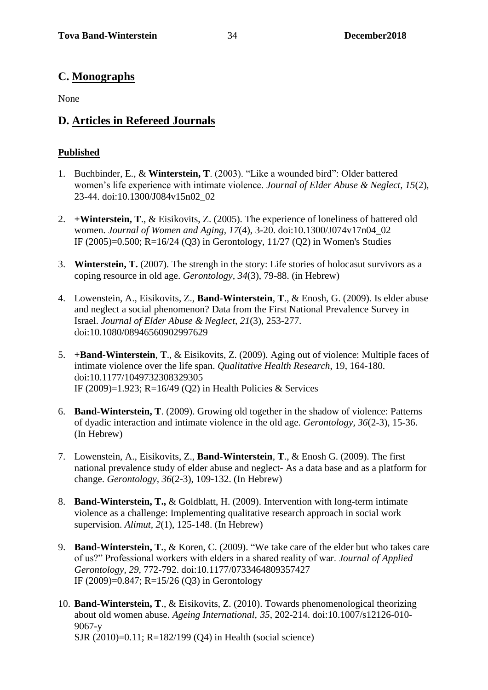# **C. Monographs**

None

# **D. Articles in Refereed Journals**

### **Published**

- 1. Buchbinder, E., & **Winterstein, T**. (2003). "Like a wounded bird": Older battered women's life experience with intimate violence. *Journal of Elder Abuse & Neglect, 15*(2)*,* 23-44. doi:10.1300/J084v15n02\_02
- 2. **+Winterstein, T**., & Eisikovits, Z. (2005). The experience of loneliness of battered old women. *Journal of Women and Aging, 17*(4), 3-20. doi:10.1300/J074v17n04\_02 IF (2005)=0.500; R=16/24 (Q3) in Gerontology, 11/27 (Q2) in Women's Studies
- 3. **Winterstein, T.** (2007). The strengh in the story: Life stories of holocasut survivors as a coping resource in old age. *Gerontology, 34*(3), 79-88. (in Hebrew)
- 4. Lowenstein, A., Eisikovits, Z., **Band-Winterstein**, **T**., & Enosh, G. (2009). Is elder abuse and neglect a social phenomenon? Data from the First National Prevalence Survey in Israel. *Journal of Elder Abuse & Neglect*, *21*(3), 253-277. doi:10.1080/08946560902997629
- 5. **+Band-Winterstein**, **T**., & Eisikovits, Z. (2009). Aging out of violence: Multiple faces of intimate violence over the life span. *Qualitative Health Research*, 19, 164-180. doi:10.1177/1049732308329305 IF (2009)=1.923; R=16/49 (Q2) in Health Policies & Services
- 6. **Band-Winterstein, T**. (2009). Growing old together in the shadow of violence: Patterns of dyadic interaction and intimate violence in the old age. *Gerontology, 36*(2-3), 15-36. (In Hebrew)
- 7. Lowenstein, A., Eisikovits, Z., **Band-Winterstein**, **T**., & Enosh G. (2009). The first national prevalence study of elder abuse and neglect- As a data base and as a platform for change. *Gerontology, 36*(2-3), 109-132. (In Hebrew)
- 8. **Band-Winterstein, T.,** & Goldblatt, H. (2009). Intervention with long-term intimate violence as a challenge: Implementing qualitative research approach in social work supervision. *Alimut, 2*(1), 125-148. (In Hebrew)
- 9. **Band-Winterstein, T.**, & Koren, C. (2009). "We take care of the elder but who takes care of us?" Professional workers with elders in a shared reality of war. *Journal of Applied Gerontology, 29*, 772-792. doi:10.1177/0733464809357427 IF (2009)=0.847; R=15/26 (Q3) in Gerontology
- 10. **Band-Winterstein, T**., & Eisikovits, Z. (2010). Towards phenomenological theorizing about old women abuse. *Ageing International, 35*, 202-214. doi:10.1007/s12126-010- 9067-y SJR (2010)=0.11; R=182/199 (Q4) in Health (social science)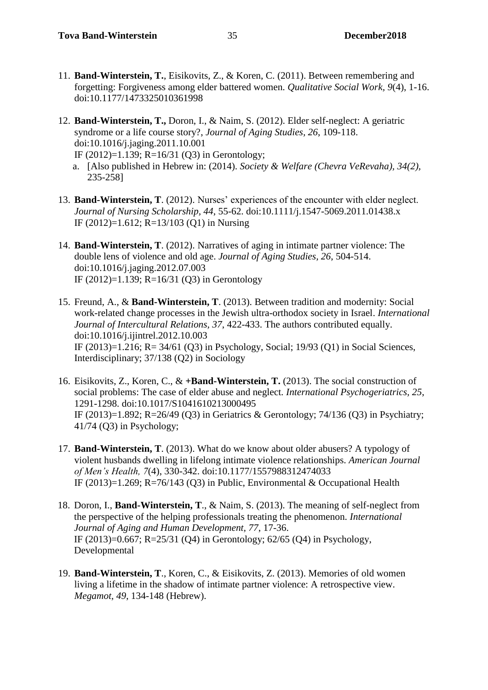- 11. **Band-Winterstein, T.**, Eisikovits, Z., & Koren, C. (2011). Between remembering and forgetting: Forgiveness among elder battered women. *Qualitative Social Work, 9*(4), 1-16. doi:10.1177/1473325010361998
- 12. **Band-Winterstein, T.,** Doron, I., & Naim, S. (2012). Elder self-neglect: A geriatric syndrome or a life course story?, *Journal of Aging Studies, 26*, 109-118. doi:10.1016/j.jaging.2011.10.001

IF (2012)=1.139; R=16/31 (Q3) in Gerontology;

- a. [Also published in Hebrew in: (2014). *Society & Welfare (Chevra VeRevaha), 34(2),*  235-258]
- 13. **Band-Winterstein, T**. (2012). Nurses' experiences of the encounter with elder neglect. *Journal of Nursing Scholarship, 44*, 55-62. doi:10.1111/j.1547-5069.2011.01438.x IF (2012)=1.612; R=13/103 (Q1) in Nursing
- 14. **Band-Winterstein, T**. (2012). Narratives of aging in intimate partner violence: The double lens of violence and old age. *Journal of Aging Studies, 26*, 504-514. doi:10.1016/j.jaging.2012.07.003 IF (2012)=1.139; R=16/31 (Q3) in Gerontology
- 15. Freund, A., & **Band-Winterstein, T**. (2013). Between tradition and modernity: Social work-related change processes in the Jewish ultra-orthodox society in Israel. *International Journal of Intercultural Relations, 37*, 422-433. The authors contributed equally. doi:10.1016/j.ijintrel.2012.10.003 IF (2013)=1.216; R= 34/61 (Q3) in Psychology, Social; 19/93 (Q1) in Social Sciences, Interdisciplinary; 37/138 (Q2) in Sociology
- 16. Eisikovits, Z., Koren, C., & **+Band-Winterstein, T.** (2013). The social construction of social problems: The case of elder abuse and neglect. *International Psychogeriatrics, 25*, 1291-1298. doi:10.1017/S1041610213000495 IF (2013)=1.892; R=26/49 (Q3) in Geriatrics & Gerontology; 74/136 (Q3) in Psychiatry; 41/74 (Q3) in Psychology;
- 17. **Band-Winterstein, T**. (2013). What do we know about older abusers? A typology of violent husbands dwelling in lifelong intimate violence relationships. *American Journal of Men's Health, 7*(4), 330-342. doi:10.1177/1557988312474033 IF (2013)=1.269; R=76/143 (Q3) in Public, Environmental & Occupational Health
- 18. Doron, I., **Band-Winterstein, T**., & Naim, S. (2013). The meaning of self-neglect from the perspective of the helping professionals treating the phenomenon*. International Journal of Aging and Human Development, 77*, 17-36. IF (2013)=0.667; R=25/31 (Q4) in Gerontology; 62/65 (Q4) in Psychology, Developmental
- 19. **Band-Winterstein, T**., Koren, C., & Eisikovits, Z. (2013). Memories of old women living a lifetime in the shadow of intimate partner violence: A retrospective view. *Megamot, 49*, 134-148 (Hebrew).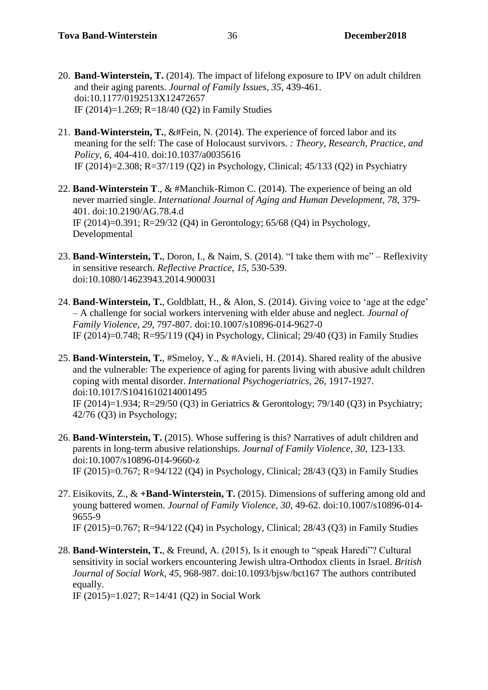- 20. **Band-Winterstein, T.** (2014). The impact of lifelong exposure to IPV on adult children and their aging parents. *Journal of Family Issues, 35*, 439-461. doi:10.1177/0192513X12472657 IF (2014)=1.269; R=18/40 (Q2) in Family Studies
- 21. **Band-Winterstein, T.**, &#Fein, N. (2014). The experience of forced labor and its meaning for the self: The case of Holocaust survivors. *: Theory, Research, Practice, and Policy, 6*, 404-410. doi:10.1037/a0035616 IF (2014)=2.308; R=37/119 (Q2) in Psychology, Clinical; 45/133 (Q2) in Psychiatry
- 22. **Band-Winterstein T**., & #Manchik-Rimon C. (2014). The experience of being an old never married single. *International Journal of Aging and Human Development, 78*, 379- 401. doi:10.2190/AG.78.4.d IF (2014)=0.391; R=29/32 (Q4) in Gerontology; 65/68 (Q4) in Psychology, Developmental
- 23. **Band-Winterstein, T.**, Doron, I., & Naim, S. (2014). "I take them with me" Reflexivity in sensitive research. *Reflective Practice, 15*, 530-539. doi:10.1080/14623943.2014.900031
- 24. **Band-Winterstein, T.**, Goldblatt, H., & Alon, S. (2014). Giving voice to 'age at the edge' – A challenge for social workers intervening with elder abuse and neglect. *Journal of Family Violence, 29*, 797-807. doi:10.1007/s10896-014-9627-0 IF (2014)=0.748; R=95/119 (Q4) in Psychology, Clinical; 29/40 (Q3) in Family Studies
- 25. **Band-Winterstein, T.**, #Smeloy, Y., & #Avieli, H. (2014). Shared reality of the abusive and the vulnerable: The experience of aging for parents living with abusive adult children coping with mental disorder. *International Psychogeriatrics, 26*, 1917-1927. doi:10.1017/S1041610214001495 IF (2014)=1.934; R=29/50 (Q3) in Geriatrics & Gerontology; 79/140 (Q3) in Psychiatry; 42/76 (Q3) in Psychology;
- 26. **Band-Winterstein, T.** (2015). Whose suffering is this? Narratives of adult children and parents in long-term abusive relationships. *Journal of Family Violence, 30*, 123-133. doi:10.1007/s10896-014-9660-z IF (2015)=0.767; R=94/122 (Q4) in Psychology, Clinical; 28/43 (Q3) in Family Studies
- 27. Eisikovits, Z., & **+Band-Winterstein, T.** (2015). Dimensions of suffering among old and young battered women. *Journal of Family Violence, 30*, 49-62. doi:10.1007/s10896-014- 9655-9 IF (2015)=0.767; R=94/122 (Q4) in Psychology, Clinical; 28/43 (Q3) in Family Studies
- 28. **Band-Winterstein, T.**, & Freund, A. (2015), Is it enough to "speak Haredi"? Cultural sensitivity in social workers encountering Jewish ultra-Orthodox clients in Israel. *British Journal of Social Work, 45*, 968-987. doi:10.1093/bjsw/bct167 The authors contributed equally.

IF (2015)=1.027; R=14/41 (Q2) in Social Work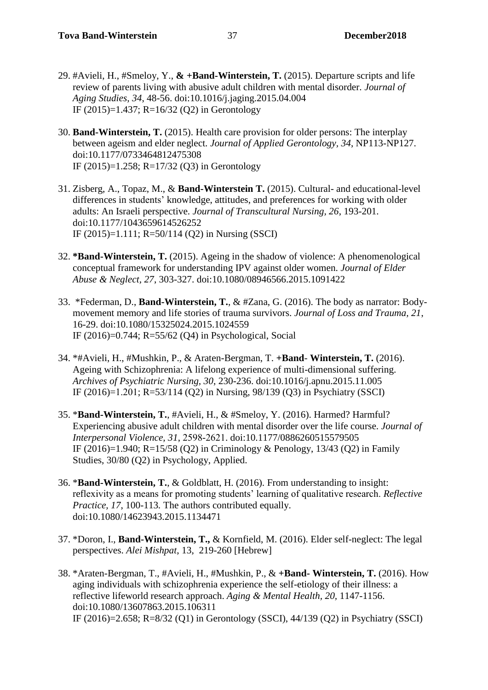- 29. #Avieli, H., #Smeloy, Y., **& +Band-Winterstein, T.** (2015). Departure scripts and life review of parents living with abusive adult children with mental disorder. *Journal of Aging Studies, 34*, 48-56. doi:10.1016/j.jaging.2015.04.004 IF (2015)=1.437; R=16/32 (Q2) in Gerontology
- 30. **Band-Winterstein, T.** (2015). Health care provision for older persons: The interplay between ageism and elder neglect. *Journal of Applied Gerontology, 34*, NP113-NP127. doi:10.1177/0733464812475308 IF (2015)=1.258; R=17/32 (Q3) in Gerontology
- 31. Zisberg, A., Topaz, M., & **Band-Winterstein T.** (2015). Cultural- and educational-level differences in students' knowledge, attitudes, and preferences for working with older adults: An Israeli perspective. *Journal of Transcultural Nursing, 26*, 193-201. doi:10.1177/1043659614526252 IF (2015)=1.111; R=50/114 (Q2) in Nursing (SSCI)
- 32. **\*Band-Winterstein, T.** (2015). Ageing in the shadow of violence: A phenomenological conceptual framework for understanding IPV against older women. *Journal of Elder Abuse & Neglect, 27*, 303-327. doi:10.1080/08946566.2015.1091422
- 33. \*Federman, D., **Band-Winterstein, T.**, & #Zana, G. (2016). The body as narrator: Bodymovement memory and life stories of trauma survivors. *Journal of Loss and Trauma, 21*, 16-29. doi:10.1080/15325024.2015.1024559 IF (2016)=0.744; R=55/62 (Q4) in Psychological, Social
- 34. \*#Avieli, H., #Mushkin, P., & Araten-Bergman, T. **+Band Winterstein, T.** (2016). Ageing with Schizophrenia: A lifelong experience of multi-dimensional suffering. *Archives of Psychiatric Nursing, 30*, 230-236. doi:10.1016/j.apnu.2015.11.005 IF (2016)=1.201; R=53/114 (Q2) in Nursing, 98/139 (Q3) in Psychiatry (SSCI)
- 35. \***Band-Winterstein, T.**, #Avieli, H., & #Smeloy, Y. (2016). Harmed? Harmful? Experiencing abusive adult children with mental disorder over the life course. *Journal of Interpersonal Violence, 31*, 2598-2621. doi:10.1177/0886260515579505 IF (2016)=1.940; R=15/58 (Q2) in Criminology & Penology, 13/43 (Q2) in Family Studies, 30/80 (Q2) in Psychology, Applied.
- 36. \***Band-Winterstein, T.**, & Goldblatt, H. (2016). From understanding to insight: reflexivity as a means for promoting students' learning of qualitative research. *Reflective Practice, 17*, 100-113*.* The authors contributed equally. doi:10.1080/14623943.2015.1134471
- 37. \*Doron, I., **Band-Winterstein, T.,** & Kornfield, M. (2016). Elder self-neglect: The legal perspectives. *Alei Mishpat*, 13, 219-260 [Hebrew]
- 38. \*Araten-Bergman, T., #Avieli, H., #Mushkin, P., & **+Band- Winterstein, T.** (2016). How aging individuals with schizophrenia experience the self-etiology of their illness: a reflective lifeworld research approach. *Aging & Mental Health, 20,* 1147-1156. doi:10.1080/13607863.2015.106311 IF (2016)=2.658; R=8/32 (Q1) in Gerontology (SSCI), 44/139 (Q2) in Psychiatry (SSCI)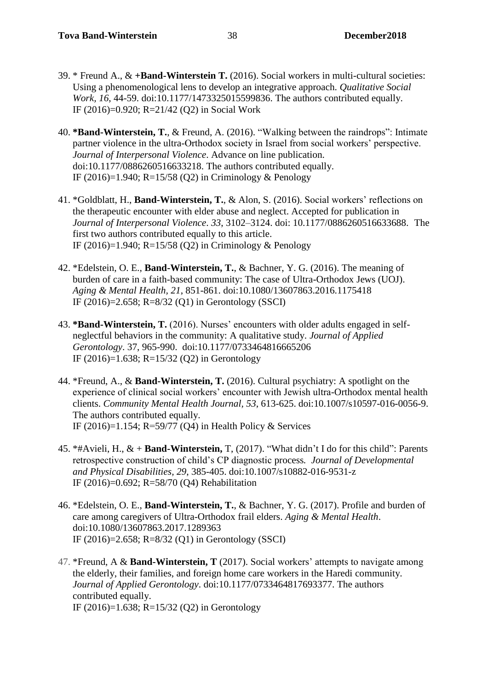- 39. \* Freund A., & **+Band-Winterstein T.** (2016). Social workers in multi-cultural societies: Using a phenomenological lens to develop an integrative approach. *Qualitative Social Work, 16*, 44-59. doi:10.1177/1473325015599836. The authors contributed equally. IF (2016)=0.920; R=21/42 (Q2) in Social Work
- 40. **\*Band-Winterstein, T.**, & Freund, A. (2016). "Walking between the raindrops": Intimate partner violence in the ultra-Orthodox society in Israel from social workers' perspective. *Journal of Interpersonal Violence*. Advance on line publication. doi:10.1177/0886260516633218. The authors contributed equally. IF (2016)=1.940; R=15/58 (Q2) in Criminology & Penology
- 41. \*Goldblatt, H., **Band-Winterstein, T.**, & Alon, S. (2016). Social workers' reflections on the therapeutic encounter with elder abuse and neglect. Accepted for publication in *Journal of Interpersonal Violence*. *33*, 3102–3124. doi: 10.1177/0886260516633688. The first two authors contributed equally to this article. IF (2016)=1.940; R=15/58 (Q2) in Criminology & Penology
- 42. \*Edelstein, O. E., **Band-Winterstein, T.**, & Bachner, Y. G. (2016). The meaning of burden of care in a faith-based community: The case of Ultra-Orthodox Jews (UOJ). *Aging & Mental Health, 21*, 851-861. doi:10.1080/13607863.2016.1175418 IF (2016)=2.658; R=8/32 (Q1) in Gerontology (SSCI)
- 43. **\*Band-Winterstein, T.** (2016). Nurses' encounters with older adults engaged in selfneglectful behaviors in the community: A qualitative study. *Journal of Applied Gerontology*. 37, 965-990. doi:10.1177/0733464816665206 IF (2016)=1.638; R=15/32 (Q2) in Gerontology
- 44. \*Freund, A., & **Band-Winterstein, T.** (2016). Cultural psychiatry: A spotlight on the experience of clinical social workers' encounter with Jewish ultra-Orthodox mental health clients. *Community Mental Health Journal, 53*, 613-625. doi:10.1007/s10597-016-0056-9. The authors contributed equally. IF (2016)=1.154; R=59/77 (Q4) in Health Policy & Services
- 45. \*#Avieli, H., & + **Band-Winterstein,** T, (2017). "What didn't I do for this child": Parents retrospective construction of child's CP diagnostic process*. Journal of Developmental and Physical Disabilities, 29*, 385-405. doi:10.1007/s10882-016-9531-z IF (2016)=0.692; R=58/70 (Q4) Rehabilitation
- 46. \*Edelstein, O. E., **Band-Winterstein, T.**, & Bachner, Y. G. (2017). Profile and burden of care among caregivers of Ultra-Orthodox frail elders. *Aging & Mental Health*. doi:10.1080/13607863.2017.1289363 IF (2016)=2.658; R=8/32 (Q1) in Gerontology (SSCI)
- 47. \*Freund, A & **Band-Winterstein, T** (2017). Social workers' attempts to navigate among the elderly, their families, and foreign home care workers in the Haredi community. *Journal of Applied Gerontology*. doi:10.1177/0733464817693377. The authors contributed equally. IF (2016)=1.638; R=15/32 (Q2) in Gerontology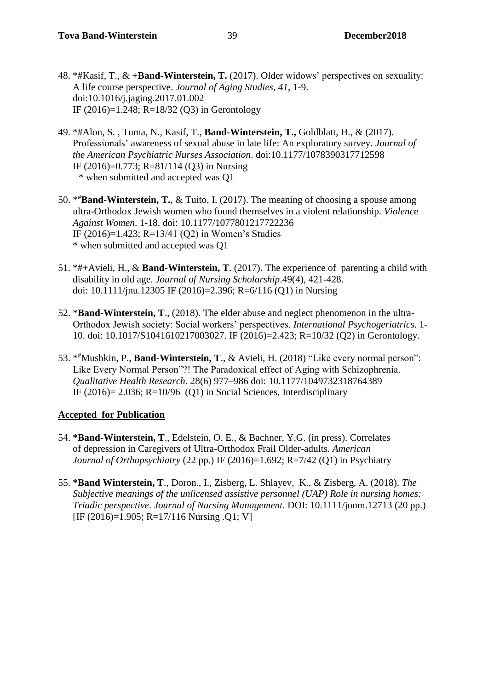- 48. \*#Kasif, T., & **+Band-Winterstein, T.** (2017). Older widows' perspectives on sexuality: A life course perspective. *Journal of Aging Studies, 41*, 1-9. doi:10.1016/j.jaging.2017.01.002 IF (2016)=1.248; R=18/32 (Q3) in Gerontology
- 49. \*#Alon, S. , Tuma, N., Kasif, T., **Band-Winterstein, T.,** Goldblatt, H., & (2017). Professionals' awareness of sexual abuse in late life: An exploratory survey. *Journal of the American Psychiatric Nurses Association*. doi:10.1177/1078390317712598 IF (2016)=0.773; R=81/114 (Q3) in Nursing \* when submitted and accepted was Q1
- 50. \* #**Band-Winterstein, T.**, & Tuito, I. (2017). The meaning of choosing a spouse among ultra-Orthodox Jewish women who found themselves in a violent relationship. *Violence Against Women*. 1-18. doi: 10.1177/1077801217722236 IF (2016)=1.423; R=13/41 (Q2) in Women's Studies \* when submitted and accepted was Q1
- 51. \*#+Avieli, H., & **Band-Winterstein, T**. (2017). The experience of parenting a child with disability in old age. *Journal of Nursing Scholarship*.49(4), 421-428. doi: 10.1111/jnu.12305 IF (2016)=2.396; R=6/116 (Q1) in Nursing
- 52. \***Band-Winterstein, T**., (2018). The elder abuse and neglect phenomenon in the ultra-Orthodox Jewish society: Social workers' perspectives. *International Psychogeriatric*s. 1- 10. doi: 10.1017/S1041610217003027. IF (2016)=2.423; R=10/32 (Q2) in Gerontology.
- 53. \* #Mushkin, P., **Band-Winterstein, T**., & Avieli, H. (2018) "Like every normal person": Like Every Normal Person"?! The Paradoxical effect of Aging with Schizophrenia. *Qualitative Health Research*. 28(6) 977–986 doi: 10.1177/1049732318764389 IF  $(2016) = 2.036$ ; R=10/96  $(Q1)$  in Social Sciences, Interdisciplinary

### **Accepted for Publication**

- 54. **\*Band-Winterstein, T**., Edelstein, O. E., & Bachner, Y.G. (in press). Correlates of depression in Caregivers of Ultra-Orthodox Frail Older-adults. *American Journal of Orthopsychiatry* (22 pp.) IF (2016)=1.692; R=7/42 (Q1) in Psychiatry
- 55. **\*Band Winterstein, T**., Doron., I., Zisberg, L. Shlayev, K., & Zisberg, A. (2018). *The Subjective meanings of the unlicensed assistive personnel (UAP) Role in nursing homes: Triadic perspective*. *Journal of Nursing Management*. DOI: 10.1111/jonm.12713 (20 pp.) [IF (2016)=1.905; R=17/116 Nursing .Q1; V]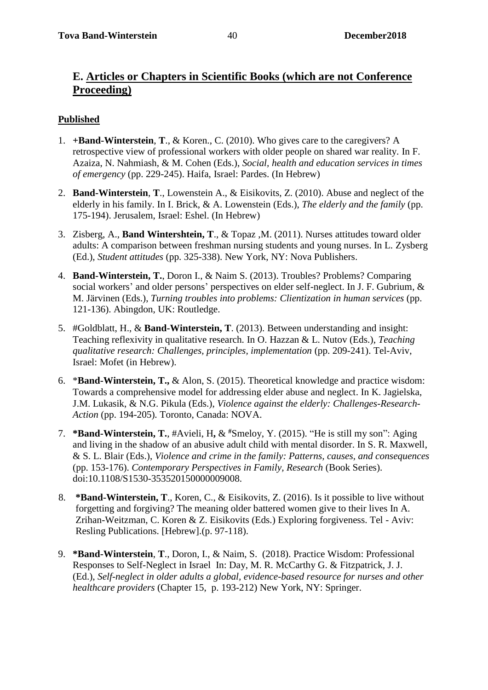### **E. Articles or Chapters in Scientific Books (which are not Conference Proceeding)**

### **Published**

- 1. **+Band-Winterstein**, **T**., & Koren., C. (2010). Who gives care to the caregivers? A retrospective view of professional workers with older people on shared war reality. In F. Azaiza, N. Nahmiash, & M. Cohen (Eds.), *Social, health and education services in times of emergency* (pp. 229-245). Haifa, Israel: Pardes. (In Hebrew)
- 2. **Band-Winterstein**, **T**., Lowenstein A., & Eisikovits, Z. (2010). Abuse and neglect of the elderly in his family. In I. Brick, & A. Lowenstein (Eds.), *The elderly and the family* (pp. 175-194). Jerusalem, Israel: Eshel. (In Hebrew)
- 3. Zisberg, A., **Band Wintershtein, T**., & Topaz ,M. (2011). Nurses attitudes toward older adults: A comparison between freshman nursing students and young nurses. In L. Zysberg (Ed.), *Student attitudes* (pp. 325-338). New York, NY: Nova Publishers.
- 4. **Band-Winterstein, T.**, Doron I., & Naim S. (2013). Troubles? Problems? Comparing social workers' and older persons' perspectives on elder self-neglect. In J. F. Gubrium, & M. Järvinen (Eds.), *Turning troubles into problems: Clientization in human services* (pp. 121-136). Abingdon, UK: Routledge.
- 5. #Goldblatt, H., & **Band-Winterstein, T**. (2013). Between understanding and insight: Teaching reflexivity in qualitative research. In O. Hazzan & L. Nutov (Eds.), *Teaching qualitative research: Challenges, principles, implementation* (pp. 209-241). Tel-Aviv, Israel: Mofet (in Hebrew).
- 6. \***Band-Winterstein, T.,** & Alon, S. (2015). Theoretical knowledge and practice wisdom: Towards a comprehensive model for addressing elder abuse and neglect. In K. Jagielska, J.M. Lukasik, & N.G. Pikula (Eds.), *Violence against the elderly: Challenges-Research-Action* (pp. 194-205)*.* Toronto, Canada: NOVA.
- 7. **\*Band-Winterstein, T.**, #Avieli, H**,** & **#**Smeloy, Y. (2015). "He is still my son": Aging and living in the shadow of an abusive adult child with mental disorder. In S. R. Maxwell, & S. L. Blair (Eds.), *Violence and crime in the family: Patterns, causes, and consequences* (pp. 153-176). *Contemporary Perspectives in Family, Research* (Book Series). doi:10.1108/S1530-353520150000009008.
- 8. **\*Band-Winterstein, T**., Koren, C., & Eisikovits, Z. (2016). Is it possible to live without forgetting and forgiving? The meaning older battered women give to their lives In A. Zrihan-Weitzman, C. Koren & Z. Eisikovits (Eds.) Exploring forgiveness. Tel - Aviv: Resling Publications. [Hebrew].(p. 97-118).
- 9. **\*Band-Winterstein**, **T**., Doron, I., & Naim, S. (2018). Practice Wisdom: Professional Responses to Self-Neglect in Israel In: Day, M. R. McCarthy G. & Fitzpatrick, J. J. (Ed.), *Self-neglect in older adults a global, evidence-based resource for nurses and other healthcare providers* (Chapter 15, p. 193-212) New York, NY: Springer.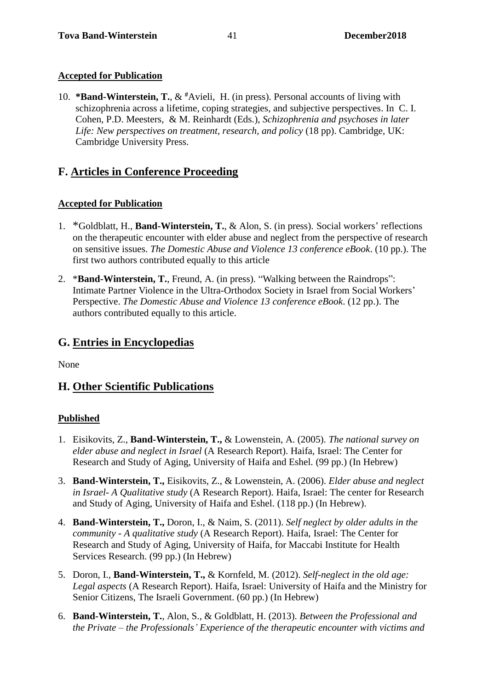### **Accepted for Publication**

10. **\*Band-Winterstein, T.**, & **#**Avieli, H. (in press). Personal accounts of living with schizophrenia across a lifetime, coping strategies, and subjective perspectives. In C. I. Cohen, P.D. Meesters, & M. Reinhardt (Eds.), *Schizophrenia and psychoses in later Life: New perspectives on treatment, research, and policy* (18 pp). Cambridge, UK: Cambridge University Press.

# **F. Articles in Conference Proceeding**

### **Accepted for Publication**

- 1. \*Goldblatt, H., **Band-Winterstein, T.**, & Alon, S. (in press). Social workers' reflections on the therapeutic encounter with elder abuse and neglect from the perspective of research on sensitive issues. *The Domestic Abuse and Violence 13 conference eBook*. (10 pp.). The first two authors contributed equally to this article
- 2. \***Band-Winterstein, T.**, Freund, A. (in press). "Walking between the Raindrops": Intimate Partner Violence in the Ultra-Orthodox Society in Israel from Social Workers' Perspective. *The Domestic Abuse and Violence 13 conference eBook*. (12 pp.). The authors contributed equally to this article.

# **G. Entries in Encyclopedias**

None

# **H. Other Scientific Publications**

### **Published**

- 1. Eisikovits, Z., **Band-Winterstein, T.,** & Lowenstein, A. (2005). *The national survey on elder abuse and neglect in Israel* (A Research Report). Haifa, Israel: The Center for Research and Study of Aging, University of Haifa and Eshel. (99 pp.) (In Hebrew)
- 3. **Band-Winterstein, T.,** Eisikovits, Z., & Lowenstein, A. (2006). *Elder abuse and neglect in Israel- A Qualitative study* (A Research Report). Haifa, Israel: The center for Research and Study of Aging, University of Haifa and Eshel. (118 pp.) (In Hebrew).
- 4. **Band-Winterstein, T.,** Doron, I., & Naim, S. (2011). *Self neglect by older adults in the community - A qualitative study* (A Research Report). Haifa, Israel: The Center for Research and Study of Aging, University of Haifa, for Maccabi Institute for Health Services Research. (99 pp.) (In Hebrew)
- 5. Doron, I., **Band-Winterstein, T.,** & Kornfeld, M. (2012). *Self-neglect in the old age: Legal aspects* (A Research Report). Haifa, Israel: University of Haifa and the Ministry for Senior Citizens, The Israeli Government. (60 pp.) (In Hebrew)
- 6. **Band-Winterstein, T.**, Alon, S., & Goldblatt, H. (2013). *Between the Professional and the Private – the Professionals' Experience of the therapeutic encounter with victims and*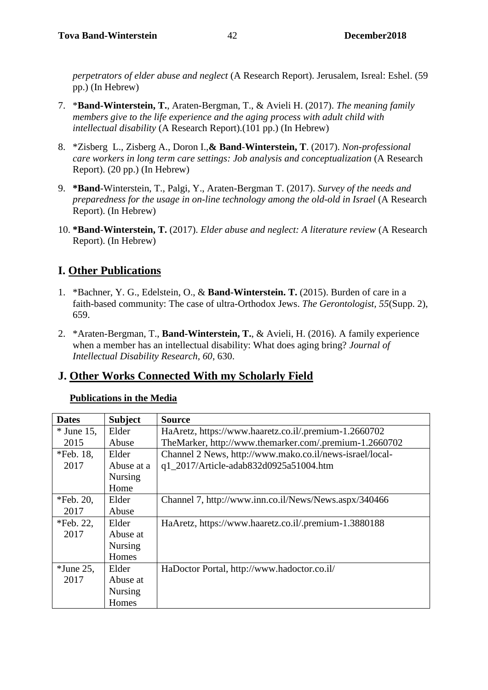*perpetrators of elder abuse and neglect* (A Research Report). Jerusalem, Isreal: Eshel. (59 pp.) (In Hebrew)

- 7. \***Band-Winterstein, T.**, Araten-Bergman, T., & Avieli H. (2017). *The meaning family members give to the life experience and the aging process with adult child with intellectual disability* (A Research Report).(101 pp.) (In Hebrew)
- 8. \*Zisberg L., Zisberg A., Doron I.,**& Band**-**Winterstein, T**. (2017). *Non-professional care workers in long term care settings: Job analysis and conceptualization* (A Research Report). (20 pp.) (In Hebrew)
- 9. **\*Band**-Winterstein, T., Palgi, Y., Araten-Bergman T. (2017). *Survey of the needs and preparedness for the usage in on-line technology among the old-old in Israel* (A Research Report). (In Hebrew)
- 10. **\*Band**-**Winterstein, T.** (2017). *Elder abuse and neglect: A literature review* (A Research Report). (In Hebrew)

# **I. Other Publications**

- 1. \*Bachner, Y. G., Edelstein, O., & **Band-Winterstein. T.** (2015). Burden of care in a faith-based community: The case of ultra-Orthodox Jews. *The Gerontologist, 55*(Supp. 2), 659.
- 2. \*Araten-Bergman, T., **Band-Winterstein, T.**, & Avieli, H. (2016). A family experience when a member has an intellectual disability: What does aging bring? *Journal of Intellectual Disability Research, 60*, 630.

### **J. Other Works Connected With my Scholarly Field**

### **Publications in the Media**

| <b>Dates</b> | <b>Subject</b> | <b>Source</b>                                            |
|--------------|----------------|----------------------------------------------------------|
| $*$ June 15, | Elder          | HaAretz, https://www.haaretz.co.il/.premium-1.2660702    |
| 2015         | Abuse          | TheMarker, http://www.themarker.com/.premium-1.2660702   |
| $*Feb. 18,$  | Elder          | Channel 2 News, http://www.mako.co.il/news-israel/local- |
| 2017         | Abuse at a     | q1_2017/Article-adab832d0925a51004.htm                   |
|              | <b>Nursing</b> |                                                          |
|              | Home           |                                                          |
| *Feb. 20,    | Elder          | Channel 7, http://www.inn.co.il/News/News.aspx/340466    |
| 2017         | Abuse          |                                                          |
| *Feb. 22,    | Elder          | HaAretz, https://www.haaretz.co.il/.premium-1.3880188    |
| 2017         | Abuse at       |                                                          |
|              | <b>Nursing</b> |                                                          |
|              | Homes          |                                                          |
| $*$ June 25, | Elder          | HaDoctor Portal, http://www.hadoctor.co.il/              |
| 2017         | Abuse at       |                                                          |
|              | <b>Nursing</b> |                                                          |
|              | Homes          |                                                          |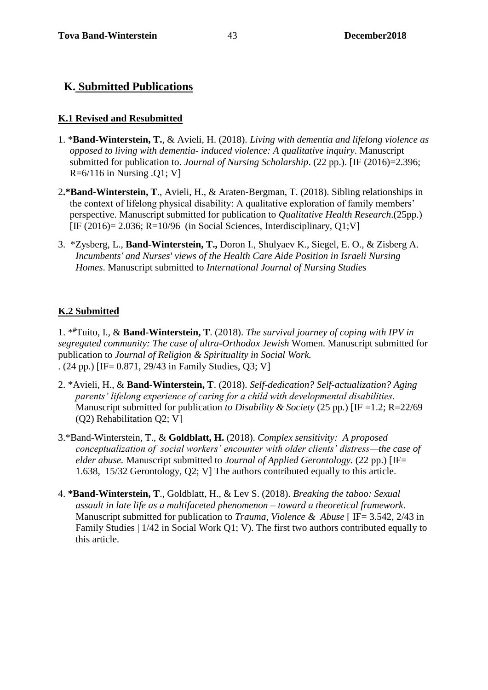### **K. Submitted Publications**

#### **K.1 Revised and Resubmitted**

- 1. \***Band-Winterstein, T.**, & Avieli, H. (2018). *Living with dementia and lifelong violence as opposed to living with dementia- induced violence: A qualitative inquiry*. Manuscript submitted for publication to. *Journal of Nursing Scholarship*. (22 pp.). [IF (2016)=2.396;  $R=6/116$  in Nursing .Q1; V]
- 2**.\*Band-Winterstein, T**., Avieli, H., & Araten-Bergman, T. (2018). Sibling relationships in the context of lifelong physical disability: A qualitative exploration of family members' perspective. Manuscript submitted for publication to *Qualitative Health Research*.(25pp.) [IF (2016) = 2.036; R=10/96 (in Social Sciences, Interdisciplinary, Q1;V]
- 3. \*Zysberg, L., **Band-Winterstein, T.,** Doron I., Shulyaev K., Siegel, E. O., & Zisberg A. *Incumbents' and Nurses' views of the Health Care Aide Position in Israeli Nursing Homes*. Manuscript submitted to *International Journal of Nursing Studies*

#### **K.2 Submitted**

1. \* **#**Tuito, I., & **Band-Winterstein, T**. (2018). *The survival journey of coping with IPV in segregated community: The case of ultra-Orthodox Jewish* Women. Manuscript submitted for publication to *Journal of Religion & Spirituality in Social Work.* . (24 pp.) [IF= 0.871, 29/43 in Family Studies, Q3; V]

- 2. \*Avieli, H., & **Band-Winterstein, T**. (2018). *Self-dedication? Self-actualization? Aging parents' lifelong experience of caring for a child with developmental disabilities*. Manuscript submitted for publication *to Disability & Society* (25 pp.) [IF =1.2; R=22/69 (Q2) Rehabilitation Q2; V]
- 3.\*Band-Winterstein, T., & **Goldblatt, H.** (2018). *Complex sensitivity: A proposed conceptualization of social workers' encounter with older clients' distress—the case of elder abuse.* Manuscript submitted to *Journal of Applied Gerontology.* (22 pp.) [IF= 1.638, 15/32 Gerontology, Q2; V] The authors contributed equally to this article.
- 4. **\*Band-Winterstein, T**., Goldblatt, H., & Lev S. (2018). *Breaking the taboo: Sexual assault in late life as a multifaceted phenomenon – toward a theoretical framework*. Manuscript submitted for publication to *Trauma, Violence & Abuse* [ IF= 3.542, 2/43 in Family Studies | 1/42 in Social Work Q1; V). The first two authors contributed equally to this article.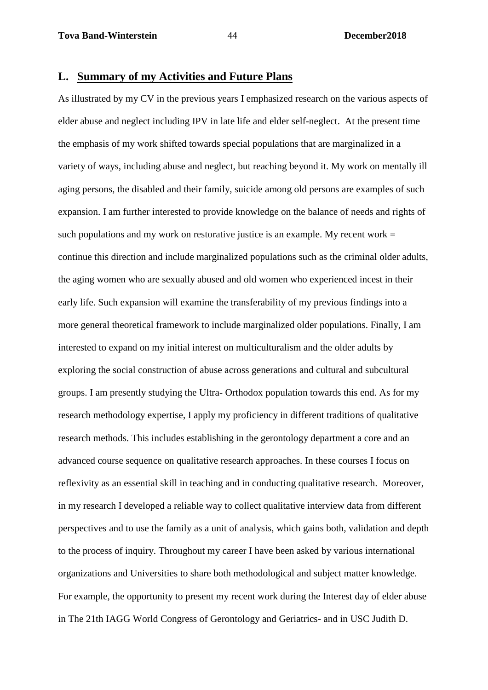#### **L. Summary of my Activities and Future Plans**

As illustrated by my CV in the previous years I emphasized research on the various aspects of elder abuse and neglect including IPV in late life and elder self-neglect. At the present time the emphasis of my work shifted towards special populations that are marginalized in a variety of ways, including abuse and neglect, but reaching beyond it. My work on mentally ill aging persons, the disabled and their family, suicide among old persons are examples of such expansion. I am further interested to provide knowledge on the balance of needs and rights of such populations and my work on restorative justice is an example. My recent work  $=$ continue this direction and include marginalized populations such as the criminal older adults, the aging women who are sexually abused and old women who experienced incest in their early life. Such expansion will examine the transferability of my previous findings into a more general theoretical framework to include marginalized older populations. Finally, I am interested to expand on my initial interest on multiculturalism and the older adults by exploring the social construction of abuse across generations and cultural and subcultural groups. I am presently studying the Ultra- Orthodox population towards this end. As for my research methodology expertise, I apply my proficiency in different traditions of qualitative research methods. This includes establishing in the gerontology department a core and an advanced course sequence on qualitative research approaches. In these courses I focus on reflexivity as an essential skill in teaching and in conducting qualitative research. Moreover, in my research I developed a reliable way to collect qualitative interview data from different perspectives and to use the family as a unit of analysis, which gains both, validation and depth to the process of inquiry. Throughout my career I have been asked by various international organizations and Universities to share both methodological and subject matter knowledge. For example, the opportunity to present my recent work during the Interest day of elder abuse in The 21th IAGG World Congress of Gerontology and Geriatrics- and in USC Judith D.